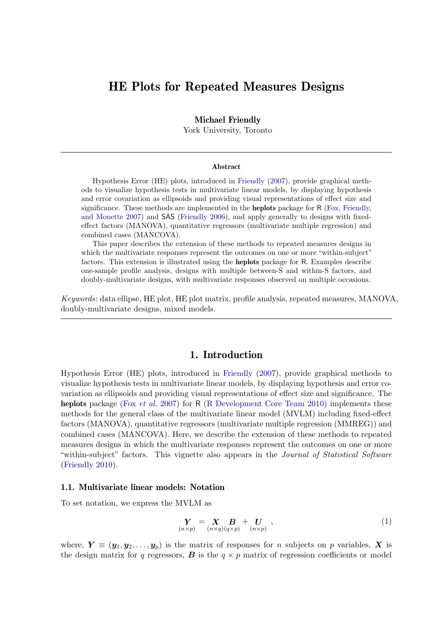# HE Plots for Repeated Measures Designs

### Michael Friendly

York University, Toronto

#### Abstract

Hypothesis Error (HE) plots, introduced in [Friendly](#page-35-0) [\(2007\)](#page-35-0), provide graphical methods to visualize hypothesis tests in multivariate linear models, by displaying hypothesis and error covariation as ellipsoids and providing visual representations of effect size and significance. These methods are implemented in the heplots package for R [\(Fox, Friendly,](#page-35-1) [and Monette 2007\)](#page-35-1) and SAS [\(Friendly 2006\)](#page-35-2), and apply generally to designs with fixedeffect factors (MANOVA), quantitative regressors (multivariate multiple regression) and combined cases (MANCOVA).

This paper describes the extension of these methods to repeated measures designs in which the multivariate responses represent the outcomes on one or more "within-subject" factors. This extension is illustrated using the heplots package for R. Examples describe one-sample profile analysis, designs with multiple between-S and within-S factors, and doubly-multivariate designs, with multivariate responses observed on multiple occasions.

Keywords: data ellipse, HE plot, HE plot matrix, profile analysis, repeated measures, MANOVA, doubly-multivariate designs, mixed models.

## 1. Introduction

Hypothesis Error (HE) plots, introduced in [Friendly](#page-35-0) [\(2007\)](#page-35-0), provide graphical methods to visualize hypothesis tests in multivariate linear models, by displaying hypothesis and error covariation as ellipsoids and providing visual representations of effect size and significance. The heplots package (Fox *[et al.](#page-35-1)* [2007\)](#page-35-1) for R [\(R Development Core Team 2010\)](#page-36-0) implements these methods for the general class of the multivariate linear model (MVLM) including fixed-effect factors (MANOVA), quantitative regressors (multivariate multiple regression (MMREG)) and combined cases (MANCOVA). Here, we describe the extension of these methods to repeated measures designs in which the multivariate responses represent the outcomes on one or more "within-subject" factors. This vignette also appears in the *Journal of Statistical Software* [\(Friendly 2010\)](#page-35-3).

### 1.1. Multivariate linear models: Notation

To set notation, we express the MVLM as

<span id="page-0-0"></span>
$$
\mathbf{Y} = \mathbf{X} \mathbf{B} + \mathbf{U} \n\alpha \mathbf{X} p + \alpha \mathbf{X} p \mathbf{X} p \mathbf{X} p \tag{1}
$$

where,  $Y \equiv (\mathbf{y}_1, \mathbf{y}_2, \dots, \mathbf{y}_p)$  is the matrix of responses for *n* subjects on *p* variables, X is the design matrix for q regressors, **B** is the  $q \times p$  matrix of regression coefficients or model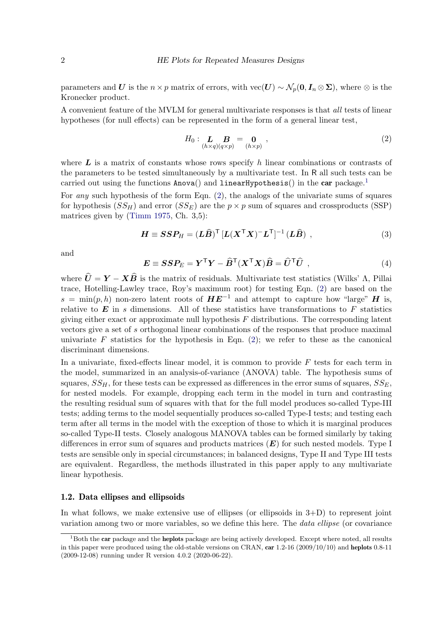parameters and U is the  $n \times p$  matrix of errors, with vec(U) ~  $\mathcal{N}_p(\mathbf{0}, \mathbf{I}_n \otimes \Sigma)$ , where ⊗ is the Kronecker product.

A convenient feature of the MVLM for general multivariate responses is that all tests of linear hypotheses (for null effects) can be represented in the form of a general linear test,

<span id="page-1-1"></span>
$$
H_0: \mathop{\mathbf{L}}\limits_{(h \times q)(q \times p)} \mathop{\mathbf{B}}\limits_{(p \times p)} = \mathop{\mathbf{0}}\limits_{(h \times p)},
$$
 (2)

where  $\bm{L}$  is a matrix of constants whose rows specify h linear combinations or contrasts of the parameters to be tested simultaneously by a multivariate test. In R all such tests can be carried out using the functions  $Anova()$  and  $LinearHypothesis()$  in the car package.<sup>[1](#page-1-0)</sup>

For any such hypothesis of the form Eqn. [\(2\)](#page-1-1), the analogs of the univariate sums of squares for hypothesis  $(SS_H)$  and error  $(SS_E)$  are the  $p \times p$  sum of squares and crossproducts (SSP) matrices given by [\(Timm 1975,](#page-36-1) Ch. 3,5):

$$
\boldsymbol{H} \equiv \boldsymbol{S}\boldsymbol{S}\boldsymbol{P}_{H} = (\boldsymbol{L}\boldsymbol{\widehat{B}})^{\mathsf{T}}\left[\boldsymbol{L}(\boldsymbol{X}^{\mathsf{T}}\boldsymbol{X})^{-}\boldsymbol{L}^{\mathsf{T}}\right]^{-1}(\boldsymbol{L}\boldsymbol{\widehat{B}}) ,
$$
\n(3)

and

$$
E \equiv SSP_E = Y^{\mathsf{T}}Y - \hat{B}^{\mathsf{T}}(X^{\mathsf{T}}X)\hat{B} = \hat{U}^{\mathsf{T}}\hat{U} , \qquad (4)
$$

where  $\hat{U} = Y - X\hat{B}$  is the matrix of residuals. Multivariate test statistics (Wilks' Λ, Pillai trace, Hotelling-Lawley trace, Roy's maximum root) for testing Eqn. [\(2\)](#page-1-1) are based on the  $s = \min(p, h)$  non-zero latent roots of  $H E^{-1}$  and attempt to capture how "large" H is, relative to  $E$  in s dimensions. All of these statistics have transformations to  $F$  statistics giving either exact or approximate null hypothesis  $F$  distributions. The corresponding latent vectors give a set of s orthogonal linear combinations of the responses that produce maximal univariate  $F$  statistics for the hypothesis in Eqn. [\(2\)](#page-1-1); we refer to these as the canonical discriminant dimensions.

In a univariate, fixed-effects linear model, it is common to provide  $F$  tests for each term in the model, summarized in an analysis-of-variance (ANOVA) table. The hypothesis sums of squares,  $SS_H$ , for these tests can be expressed as differences in the error sums of squares,  $SS_E$ , for nested models. For example, dropping each term in the model in turn and contrasting the resulting residual sum of squares with that for the full model produces so-called Type-III tests; adding terms to the model sequentially produces so-called Type-I tests; and testing each term after all terms in the model with the exception of those to which it is marginal produces so-called Type-II tests. Closely analogous MANOVA tables can be formed similarly by taking differences in error sum of squares and products matrices  $(E)$  for such nested models. Type I tests are sensible only in special circumstances; in balanced designs, Type II and Type III tests are equivalent. Regardless, the methods illustrated in this paper apply to any multivariate linear hypothesis.

### 1.2. Data ellipses and ellipsoids

In what follows, we make extensive use of ellipses (or ellipsoids in  $3+D$ ) to represent joint variation among two or more variables, so we define this here. The *data ellipse* (or covariance

<span id="page-1-0"></span> $1<sup>1</sup>$ Both the car package and the heplots package are being actively developed. Except where noted, all results in this paper were produced using the old-stable versions on CRAN, car 1.2-16 (2009/10/10) and heplots 0.8-11 (2009-12-08) running under R version 4.0.2 (2020-06-22).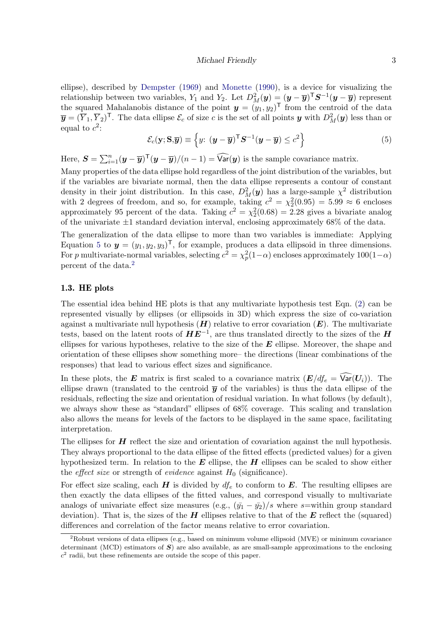#### Michael Friendly 3

ellipse), described by [Dempster](#page-35-4) [\(1969\)](#page-35-4) and [Monette](#page-36-2) [\(1990\)](#page-36-2), is a device for visualizing the relationship between two variables,  $Y_1$  and  $Y_2$ . Let  $D_M^2(\mathbf{y}) = (\mathbf{y} - \overline{\mathbf{y}})^T \mathbf{S}^{-1}(\mathbf{y} - \overline{\mathbf{y}})$  represent the squared Mahalanobis distance of the point  $y = (y_1, y_2)^\mathsf{T}$  from the centroid of the data  $\overline{\mathbf{y}} = (\overline{Y}_1, \overline{Y}_2)^{\mathsf{T}}$ . The data ellipse  $\mathcal{E}_c$  of size c is the set of all points  $\mathbf{y}$  with  $D_M^2(\mathbf{y})$  less than or equal to  $c^2$ :

<span id="page-2-0"></span>
$$
\mathcal{E}_c(\mathbf{y}; \mathbf{S}, \overline{\mathbf{y}}) \equiv \left\{ y : (\mathbf{y} - \overline{\mathbf{y}})^{\mathsf{T}} \mathbf{S}^{-1} (\mathbf{y} - \overline{\mathbf{y}}) \leq c^2 \right\}
$$
(5)

Here,  $\mathbf{S} = \sum_{i=1}^{n} (\mathbf{y} - \overline{\mathbf{y}})^{\mathsf{T}} (\mathbf{y} - \overline{\mathbf{y}}) / (n-1) = \widehat{\text{Var}}(\mathbf{y})$  is the sample covariance matrix.

Many properties of the data ellipse hold regardless of the joint distribution of the variables, but if the variables are bivariate normal, then the data ellipse represents a contour of constant density in their joint distribution. In this case,  $D_M^2(y)$  has a large-sample  $\chi^2$  distribution with 2 degrees of freedom, and so, for example, taking  $c^2 = \chi_2^2(0.95) = 5.99 \approx 6$  encloses approximately 95 percent of the data. Taking  $c^2 = \chi_2^2(0.68) = 2.28$  gives a bivariate analog of the univariate  $\pm 1$  standard deviation interval, enclosing approximately 68% of the data.

The generalization of the data ellipse to more than two variables is immediate: Applying Equation [5](#page-2-0) to  $y = (y_1, y_2, y_3)^T$ , for example, produces a data ellipsoid in three dimensions. For p multivariate-normal variables, selecting  $c^2 = \chi_p^2(1-\alpha)$  encloses approximately  $100(1-\alpha)$ percent of the data.[2](#page-2-1)

### 1.3. HE plots

The essential idea behind HE plots is that any multivariate hypothesis test Eqn. [\(2\)](#page-1-1) can be represented visually by ellipses (or ellipsoids in 3D) which express the size of co-variation against a multivariate null hypothesis  $(H)$  relative to error covariation  $(E)$ . The multivariate tests, based on the latent roots of  $HE^{-1}$ , are thus translated directly to the sizes of the  $H$ ellipses for various hypotheses, relative to the size of the  $E$  ellipse. Moreover, the shape and orientation of these ellipses show something more– the directions (linear combinations of the responses) that lead to various effect sizes and significance.

In these plots, the **E** matrix is first scaled to a covariance matrix  $(E/df_e = \widehat{Var}(U_i))$ . The ellipse drawn (translated to the centroid  $\bar{y}$  of the variables) is thus the data ellipse of the residuals, reflecting the size and orientation of residual variation. In what follows (by default), we always show these as "standard" ellipses of 68% coverage. This scaling and translation also allows the means for levels of the factors to be displayed in the same space, facilitating interpretation.

The ellipses for  $H$  reflect the size and orientation of covariation against the null hypothesis. They always proportional to the data ellipse of the fitted effects (predicted values) for a given hypothesized term. In relation to the  $E$  ellipse, the  $H$  ellipses can be scaled to show either the *effect size* or strength of *evidence* against  $H_0$  (significance).

For effect size scaling, each  $H$  is divided by  $df_e$  to conform to  $E$ . The resulting ellipses are then exactly the data ellipses of the fitted values, and correspond visually to multivariate analogs of univariate effect size measures (e.g.,  $(\bar{y}_1 - \bar{y}_2)/s$  where s=within group standard deviation). That is, the sizes of the  $H$  ellipses relative to that of the  $E$  reflect the (squared) differences and correlation of the factor means relative to error covariation.

<span id="page-2-1"></span><sup>2</sup>Robust versions of data ellipses (e.g., based on minimum volume ellipsoid (MVE) or minimum covariance determinant (MCD) estimators of  $S$ ) are also available, as are small-sample approximations to the enclosing  $c<sup>2</sup>$  radii, but these refinements are outside the scope of this paper.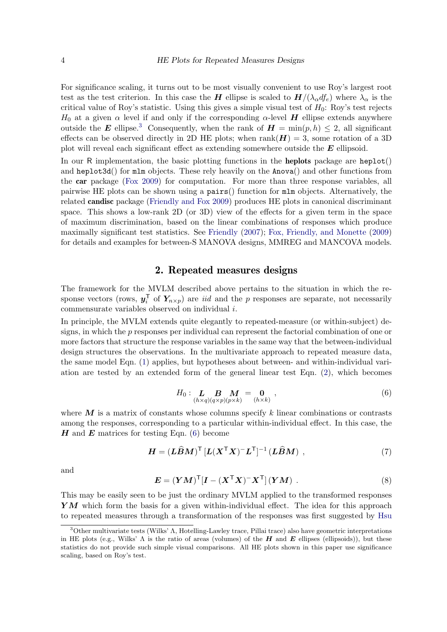For significance scaling, it turns out to be most visually convenient to use Roy's largest root test as the test criterion. In this case the H ellipse is scaled to  $H/(\lambda_\alpha df_e)$  where  $\lambda_\alpha$  is the critical value of Roy's statistic. Using this gives a simple visual test of  $H_0$ : Roy's test rejects  $H_0$  at a given  $\alpha$  level if and only if the corresponding  $\alpha$ -level H ellipse extends anywhere outside the E ellipse.<sup>[3](#page-3-0)</sup> Consequently, when the rank of  $H = min(p, h) \le 2$ , all significant effects can be observed directly in 2D HE plots; when  $rank(\mathbf{H}) = 3$ , some rotation of a 3D plot will reveal each significant effect as extending somewhere outside the  $E$  ellipsoid.

In our R implementation, the basic plotting functions in the **heplots** package are  $heplot()$ and heplot3d() for mlm objects. These rely heavily on the Anova() and other functions from the car package [\(Fox 2009\)](#page-35-5) for computation. For more than three response variables, all pairwise HE plots can be shown using a pairs() function for mlm objects. Alternatively, the related candisc package [\(Friendly and Fox 2009\)](#page-35-6) produces HE plots in canonical discriminant space. This shows a low-rank 2D (or 3D) view of the effects for a given term in the space of maximum discrimination, based on the linear combinations of responses which produce maximally significant test statistics. See [Friendly](#page-35-0) [\(2007\)](#page-35-0); [Fox, Friendly, and Monette](#page-35-7) [\(2009\)](#page-35-7) for details and examples for between-S MANOVA designs, MMREG and MANCOVA models.

### 2. Repeated measures designs

The framework for the MVLM described above pertains to the situation in which the response vectors (rows,  $\boldsymbol{y}_i^{\mathsf{T}}$  $i$  of  $Y_{n\times p}$  are *iid* and the p responses are separate, not necessarily commensurate variables observed on individual i.

In principle, the MVLM extends quite elegantly to repeated-measure (or within-subject) designs, in which the p responses per individual can represent the factorial combination of one or more factors that structure the response variables in the same way that the between-individual design structures the observations. In the multivariate approach to repeated measure data, the same model Eqn. [\(1\)](#page-0-0) applies, but hypotheses about between- and within-individual variation are tested by an extended form of the general linear test Eqn. [\(2\)](#page-1-1), which becomes

$$
H_0: \mathop{\mathbf{L}}\limits_{(h \times q)(q \times p)(p \times k)} \mathop{\mathbf{M}}\limits_{(h \times k)} = \mathop{\mathbf{0}}\limits_{(h \times k)} , \qquad (6)
$$

<span id="page-3-1"></span>where  $\boldsymbol{M}$  is a matrix of constants whose columns specify k linear combinations or contrasts among the responses, corresponding to a particular within-individual effect. In this case, the  $H$  and  $E$  matrices for testing Eqn. [\(6\)](#page-3-1) become

$$
H = (L\widehat{B}M)^{\mathsf{T}} \left[ L(X^{\mathsf{T}}X)^{-}L^{\mathsf{T}} \right]^{-1} (L\widehat{B}M) , \qquad (7)
$$

<span id="page-3-2"></span>and

$$
\boldsymbol{E} = (\boldsymbol{Y}\boldsymbol{M})^{\mathsf{T}}[\boldsymbol{I} - (\boldsymbol{X}^{\mathsf{T}}\boldsymbol{X})^{-}\boldsymbol{X}^{\mathsf{T}}](\boldsymbol{Y}\boldsymbol{M})\ .
$$
 (8)

This may be easily seen to be just the ordinary MVLM applied to the transformed responses  $YM$  which form the basis for a given within-individual effect. The idea for this approach to repeated measures through a transformation of the responses was first suggested by [Hsu](#page-35-8)

<span id="page-3-0"></span><sup>3</sup>Other multivariate tests (Wilks' Λ, Hotelling-Lawley trace, Pillai trace) also have geometric interpretations in HE plots (e.g., Wilks'  $\Lambda$  is the ratio of areas (volumes) of the H and E ellipses (ellipsoids)), but these statistics do not provide such simple visual comparisons. All HE plots shown in this paper use significance scaling, based on Roy's test.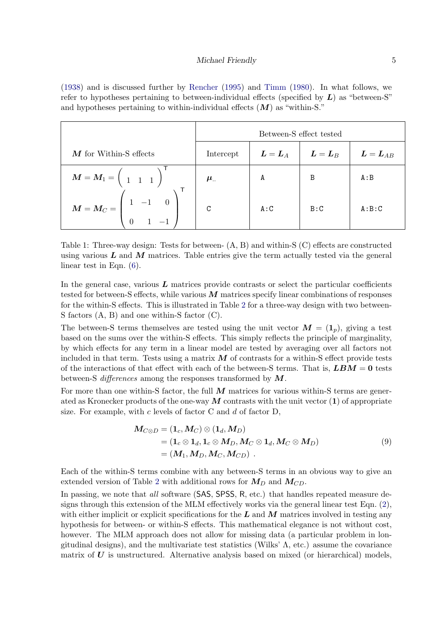[\(1938\)](#page-35-8) and is discussed further by [Rencher](#page-36-3) [\(1995\)](#page-36-3) and [Timm](#page-36-4) [\(1980\)](#page-36-4). In what follows, we refer to hypotheses pertaining to between-individual effects (specified by  $L$ ) as "between-S" and hypotheses pertaining to within-individual effects  $(M)$  as "within-S."

|                                                                                                  | Between-S effect tested |                                     |                                   |                        |  |  |
|--------------------------------------------------------------------------------------------------|-------------------------|-------------------------------------|-----------------------------------|------------------------|--|--|
| $M$ for Within-S effects                                                                         | Intercept               | $\boldsymbol{L} = \boldsymbol{L}_A$ | $\boldsymbol{L}=\boldsymbol{L}_B$ | $\bm{L} = \bm{L}_{AB}$ |  |  |
| $\boldsymbol{M} = \boldsymbol{M}_1 = \left( \begin{array}{ccc} & 1 & 1 \end{array} \right)^\top$ | $\mu_{\cdot}$           | A                                   | B                                 | A:B                    |  |  |
| $M = M_C = \left(\begin{array}{rrr} & & & \ & 1 & -1 & 0 \ 0 & 1 & -1 & \end{array}\right)$      | $\mathcal{C}$           | A:C                                 | B:C                               | A:B:C                  |  |  |

Table 1: Three-way design: Tests for between- (A, B) and within-S (C) effects are constructed using various  $L$  and  $M$  matrices. Table entries give the term actually tested via the general linear test in Eqn.  $(6)$ .

In the general case, various  $L$  matrices provide contrasts or select the particular coefficients tested for between-S effects, while various  $M$  matrices specify linear combinations of responses for the within-S effects. This is illustrated in Table [2](#page-3-2) for a three-way design with two between-S factors (A, B) and one within-S factor (C).

The between-S terms themselves are tested using the unit vector  $\mathbf{M} = (\mathbf{1}_p)$ , giving a test based on the sums over the within-S effects. This simply reflects the principle of marginality, by which effects for any term in a linear model are tested by averaging over all factors not included in that term. Tests using a matrix  $\vec{M}$  of contrasts for a within-S effect provide tests of the interactions of that effect with each of the between-S terms. That is,  $\mathbf{LBM} = \mathbf{0}$  tests between-S differences among the responses transformed by  $M$ .

For more than one within-S factor, the full  $M$  matrices for various within-S terms are generated as Kronecker products of the one-way  $\boldsymbol{M}$  contrasts with the unit vector (1) of appropriate size. For example, with  $c$  levels of factor C and  $d$  of factor D,

<span id="page-4-0"></span>
$$
M_{C\otimes D} = (\mathbf{1}_c, M_C) \otimes (\mathbf{1}_d, M_D)
$$
  
=  $(\mathbf{1}_c \otimes \mathbf{1}_d, \mathbf{1}_c \otimes M_D, M_C \otimes \mathbf{1}_d, M_C \otimes M_D)$   
=  $(M_1, M_D, M_C, M_{CD})$ . (9)

Each of the within-S terms combine with any between-S terms in an obvious way to give an extended version of Table [2](#page-3-2) with additional rows for  $M_D$  and  $M_{CD}$ .

In passing, we note that *all* software (SAS, SPSS, R, etc.) that handles repeated measure designs through this extension of the MLM effectively works via the general linear test Eqn. [\(2\)](#page-1-1), with either implicit or explicit specifications for the  $L$  and  $M$  matrices involved in testing any hypothesis for between- or within-S effects. This mathematical elegance is not without cost, however. The MLM approach does not allow for missing data (a particular problem in longitudinal designs), and the multivariate test statistics (Wilks'  $\Lambda$ , etc.) assume the covariance matrix of  $\bf{U}$  is unstructured. Alternative analysis based on mixed (or hierarchical) models,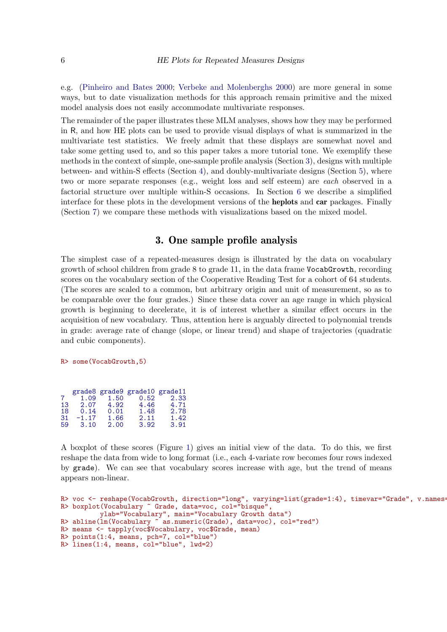e.g. [\(Pinheiro and Bates 2000;](#page-36-5) [Verbeke and Molenberghs 2000\)](#page-36-6) are more general in some ways, but to date visualization methods for this approach remain primitive and the mixed model analysis does not easily accommodate multivariate responses.

The remainder of the paper illustrates these MLM analyses, shows how they may be performed in R, and how HE plots can be used to provide visual displays of what is summarized in the multivariate test statistics. We freely admit that these displays are somewhat novel and take some getting used to, and so this paper takes a more tutorial tone. We exemplify these methods in the context of simple, one-sample profile analysis (Section [3\)](#page-5-0), designs with multiple between- and within-S effects (Section [4\)](#page-10-0), and doubly-multivariate designs (Section [5\)](#page-19-0), where two or more separate responses (e.g., weight loss and self esteem) are each observed in a factorial structure over multiple within-S occasions. In Section [6](#page-26-0) we describe a simplified interface for these plots in the development versions of the heplots and car packages. Finally (Section [7\)](#page-27-0) we compare these methods with visualizations based on the mixed model.

## 3. One sample profile analysis

<span id="page-5-0"></span>The simplest case of a repeated-measures design is illustrated by the data on vocabulary growth of school children from grade 8 to grade 11, in the data frame VocabGrowth, recording scores on the vocabulary section of the Cooperative Reading Test for a cohort of 64 students. (The scores are scaled to a common, but arbitrary origin and unit of measurement, so as to be comparable over the four grades.) Since these data cover an age range in which physical growth is beginning to decelerate, it is of interest whether a similar effect occurs in the acquisition of new vocabulary. Thus, attention here is arguably directed to polynomial trends in grade: average rate of change (slope, or linear trend) and shape of trajectories (quadratic and cubic components).

#### R> some(VocabGrowth,5)

| grade8 grade9 grade10 grade11 |
|-------------------------------|
| 2.33                          |
| 4.71                          |
| 2.78                          |
| 1.42                          |
| 3.91                          |
|                               |

A boxplot of these scores (Figure [1\)](#page-6-0) gives an initial view of the data. To do this, we first reshape the data from wide to long format (i.e., each 4-variate row becomes four rows indexed by grade). We can see that vocabulary scores increase with age, but the trend of means appears non-linear.

```
R> voc <- reshape(VocabGrowth, direction="long", varying=list(grade=1:4), timevar="Grade", v.names=
R> boxplot(Vocabulary ~ Grade, data=voc, col="bisque"
          ylab="Vocabulary", main="Vocabulary Growth data")
R> abline(lm(Vocabulary ~ as.numeric(Grade), data=voc), col="red")
R> means <- tapply(voc$Vocabulary, voc$Grade, mean)
R> points(1:4, means, pch=7, col="blue")
R> lines(1:4, means, col="blue", lwd=2)
```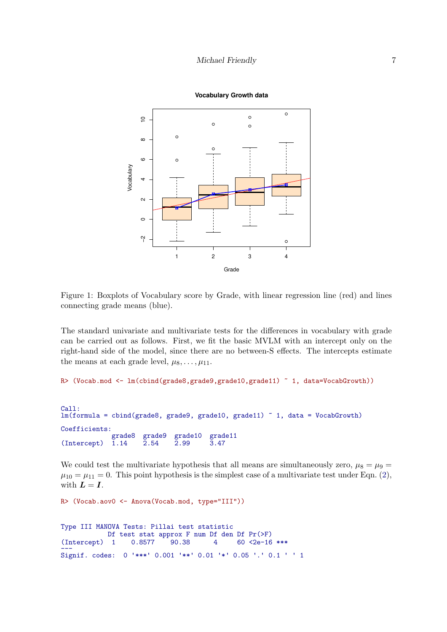

<span id="page-6-0"></span>Figure 1: Boxplots of Vocabulary score by Grade, with linear regression line (red) and lines connecting grade means (blue).

The standard univariate and multivariate tests for the differences in vocabulary with grade can be carried out as follows. First, we fit the basic MVLM with an intercept only on the right-hand side of the model, since there are no between-S effects. The intercepts estimate the means at each grade level,  $\mu_8, \ldots, \mu_{11}$ .

```
R> (Vocab.mod <- lm(cbind(grade8,grade9,grade10,grade11) ~ 1, data=VocabGrowth))
```

```
Call:
lm(formula = chind(grade8, grade9, grade10, grade11) ~ 1, data = VocabGrowth)
Coefficients:
               grade8 grade9 grade10 grade11<br>1.14    2.54    2.99    3.47
(Intercept)
```
We could test the multivariate hypothesis that all means are simultaneously zero,  $\mu_8 = \mu_9 =$  $\mu_{10} = \mu_{11} = 0$ . This point hypothesis is the simplest case of a multivariate test under Eqn. [\(2\)](#page-1-1), with  $\boldsymbol{L} = \boldsymbol{I}$ .

```
R> (Vocab.aov0 <- Anova(Vocab.mod, type="III"))
Type III MANOVA Tests: Pillai test statistic
               Df test stat approx F num Df den Df Pr(>F)<br>1 0.8577 90.38 4 60 <2e-16
(Intercept) 1 0.8577 90.38 4 60 <2e-16 ***
(intercept) 1 0.6577 90.56 4 00 22e-10 ***<br>---<br>Signif. codes: 0 '***' 0.001 '**' 0.01 '*' 0.05 '.' 0.1 ' ' 1
```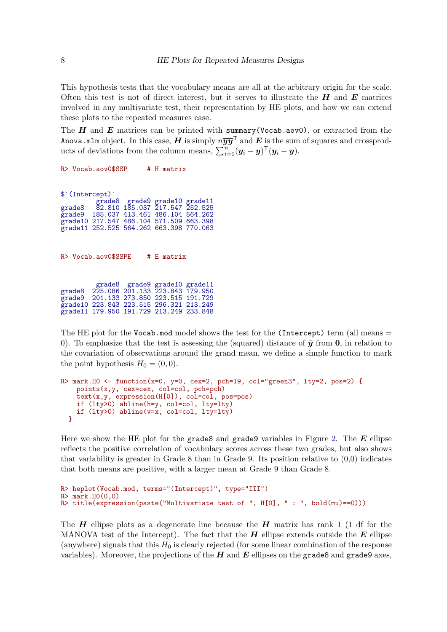This hypothesis tests that the vocabulary means are all at the arbitrary origin for the scale. Often this test is not of direct interest, but it serves to illustrate the  $H$  and  $E$  matrices involved in any multivariate test, their representation by HE plots, and how we can extend these plots to the repeated measures case.

The  $H$  and  $E$  matrices can be printed with summary (Vocab.aov0), or extracted from the Anova.mlm object. In this case,  $\hat{H}$  is simply  $n\overline{y}\overline{y}^{\top}$  and  $\hat{E}$  is the sum of squares and crossproducts of deviations from the column means,  $\sum_{i=1}^{n} (\mathbf{y}_i - \overline{\mathbf{y}})^{\mathsf{T}} (\mathbf{y}_i - \overline{\mathbf{y}})$ .

R> Vocab.aov0\$SSP # H matrix \$❵(Intercept)❵ grade8 grade9 grade10 grade11 grade8 82.810 185.037 217.547 252.525 grade8 82.810 185.037 217.547 252.525<br>grade9 185.037 413.461 486.104 564.262 grade10 217.547 486.104 571.509 663.398 grade11 252.525 564.262 663.398 770.063 R> Vocab.aov0\$SSPE # E matrix grade8 grade9 grade10 grade11 grade8 225.086 201.133 223.843 179.950 grade8 225.086 201.133 223.843 179.950<br>grade9 201.133 273.850 223.515 191.729 grade10 223.843 223.515 296.321 213.249 grade11 179.950 191.729 213.249 233.848

The HE plot for the Vocab.mod model shows the test for the (Intercept) term (all means  $=$ 0). To emphasize that the test is assessing the (squared) distance of  $\bar{y}$  from 0, in relation to the covariation of observations around the grand mean, we define a simple function to mark the point hypothesis  $H_0 = (0, 0)$ .

```
R> mark.HO <- function(x=0, y=0, cex=2, pch=19, col="green3", lty=2, pos=2) {
   points(x,y, cex=cex, col=col, pch=pch)
   text(x,y, expression(H[0]), col=col, pos=pos)
   if (lty>0) abline(h=y, col=col, lty=lty)
   if (lty>0) abline(v=x, col=col, lty=lty)
  }
```
Here we show the HE plot for the grade8 and grade9 variables in Figure [2.](#page-8-0) The  $E$  ellipse reflects the positive correlation of vocabulary scores across these two grades, but also shows that variability is greater in Grade 8 than in Grade 9. Its position relative to  $(0.0)$  indicates that both means are positive, with a larger mean at Grade 9 than Grade 8.

```
R> heplot(Vocab.mod, terms="(Intercept)", type="III")
R> mark.H0(0,0)
R> title(expression(paste("Multivariate test of ", H[0], " : ", bold(mu)==0)))
```
The  $H$  ellipse plots as a degenerate line because the  $H$  matrix has rank 1 (1 df for the MANOVA test of the Intercept). The fact that the  $H$  ellipse extends outside the  $E$  ellipse (anywhere) signals that this  $H_0$  is clearly rejected (for some linear combination of the response variables). Moreover, the projections of the  $H$  and  $E$  ellipses on the grade8 and grade9 axes,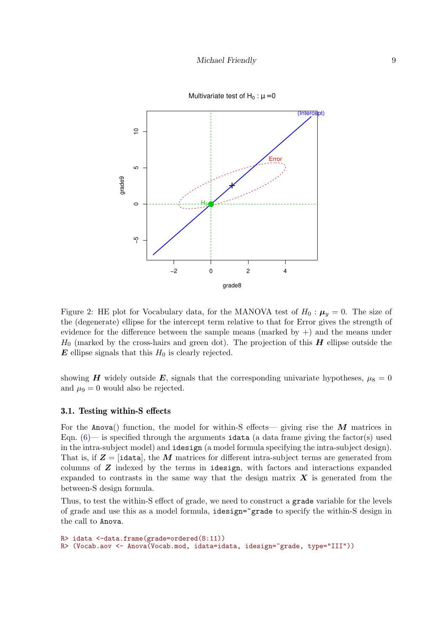

<span id="page-8-0"></span>Figure 2: HE plot for Vocabulary data, for the MANOVA test of  $H_0: \mu_y = 0$ . The size of the (degenerate) ellipse for the intercept term relative to that for Error gives the strength of evidence for the difference between the sample means (marked by  $+)$  and the means under  $H_0$  (marked by the cross-hairs and green dot). The projection of this  $\boldsymbol{H}$  ellipse outside the  $\boldsymbol{E}$  ellipse signals that this  $H_0$  is clearly rejected.

showing H widely outside E, signals that the corresponding univariate hypotheses,  $\mu_8 = 0$ and  $\mu$ <sub>9</sub> = 0 would also be rejected.

### <span id="page-8-1"></span>3.1. Testing within-S effects

For the Anova() function, the model for within-S effects— giving rise the  $\overline{M}$  matrices in Eqn.  $(6)$ — is specified through the arguments idata (a data frame giving the factor(s) used in the intra-subject model) and idesign (a model formula specifying the intra-subject design). That is, if  $Z = [\text{ideal}, \text{the } M \text{ matrices for different intra-subject terms are generated from}]$ columns of  $Z$  indexed by the terms in idesign, with factors and interactions expanded expanded to contrasts in the same way that the design matrix  $\boldsymbol{X}$  is generated from the between-S design formula.

Thus, to test the within-S effect of grade, we need to construct a grade variable for the levels of grade and use this as a model formula, idesign=~grade to specify the within-S design in the call to Anova.

```
R> idata <-data.frame(grade=ordered(8:11))
R> (Vocab.aov <- Anova(Vocab.mod, idata=idata, idesign=~grade, type="III"))
```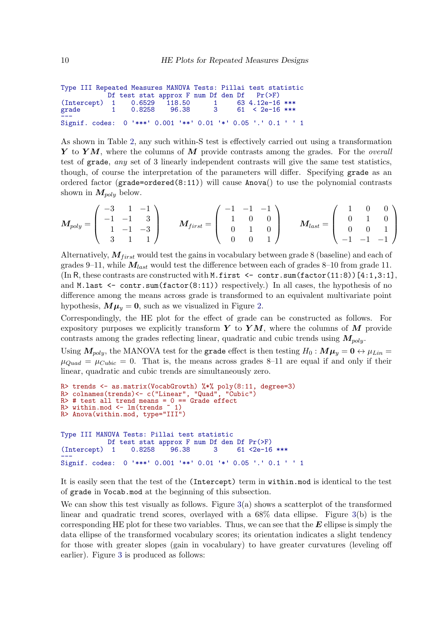```
Type III Repeated Measures MANOVA Tests: Pillai test statistic
                 Df test stat approx F num Df den Df<br>
1 0.6529 118.50 1 63
(Intercept) 1 0.6529 118.50 1 63 4.12e-16 ***<br>grade 1 0.8258 96.38 3 61 < 2e-16 ***
                                                                61 \leq 2e-16 ***
grade = 1 0.6256 90.56 5 01 < 2e=10 ***<br>---<br>Signif. codes: 0 '***' 0.001 '**' 0.01 '*' 0.05 '.' 0.1 ' ' 1
```
As shown in Table [2,](#page-3-2) any such within-S test is effectively carried out using a transformation  $Y$  to  $YM$ , where the columns of M provide contrasts among the grades. For the *overall* test of grade, any set of 3 linearly independent contrasts will give the same test statistics, though, of course the interpretation of the parameters will differ. Specifying grade as an ordered factor ( $grade=ordered(8:11)$ ) will cause  $Anova()$  to use the polynomial contrasts shown in  $M_{poly}$  below.

$$
M_{poly}=\left(\begin{array}{rrr} -3 & 1 & -1 \\ -1 & -1 & 3 \\ 1 & -1 & -3 \\ 3 & 1 & 1 \end{array}\right) \qquad M_{first}=\left(\begin{array}{rrr} -1 & -1 & -1 \\ 1 & 0 & 0 \\ 0 & 1 & 0 \\ 0 & 0 & 1 \end{array}\right) \qquad M_{last}=\left(\begin{array}{rrr} 1 & 0 & 0 \\ 0 & 1 & 0 \\ 0 & 0 & 1 \\ -1 & -1 & -1 \end{array}\right)
$$

Alternatively,  $M_{first}$  would test the gains in vocabulary between grade 8 (baseline) and each of grades 9–11, while  $M_{last}$  would test the difference between each of grades 8–10 from grade 11.  $(\text{In R, these contrasts are constructed with M.first } \leq \text{contr.sum(factor}(11:8))[4:1,3:1],$ and M.last  $\leq$  contr.sum (factor (8:11)) respectively.) In all cases, the hypothesis of no difference among the means across grade is transformed to an equivalent multivariate point hypothesis,  $M\mu_y = 0$ , such as we visualized in Figure [2.](#page-8-0)

Correspondingly, the HE plot for the effect of grade can be constructed as follows. For expository purposes we explicitly transform Y to YM, where the columns of M provide contrasts among the grades reflecting linear, quadratic and cubic trends using  $M_{poly}$ .

Using  $M_{poly}$ , the MANOVA test for the grade effect is then testing  $H_0: M\mu_y = 0 \leftrightarrow \mu_{Lin} =$  $\mu_{Quad} = \mu_{Cubic} = 0$ . That is, the means across grades 8-11 are equal if and only if their linear, quadratic and cubic trends are simultaneously zero.

```
R> trends <- as.matrix(VocabGrowth) %*% poly(8:11, degree=3)
R> colnames(trends)<- c("Linear", "Quad", "Cubic")
R \neq test all trend means = 0 == Grade effect
R> within.mod \leq lm(trends \sim 1)
R> Anova(within.mod, type="III")
Type III MANOVA Tests: Pillai test statistic
             Df test stat approx F num Df den Df Pr(>F)
(Intercept) 1 0.8258 96.38 3 61 <2e-16 ***
(intercept) 1 0.6256 90.56 5 01 <2e-10 ***<br>---<br>Signif. codes: 0 '***' 0.001 '**' 0.01 '*' 0.05 '.' 0.1 ' ' 1
```
It is easily seen that the test of the (Intercept) term in within.mod is identical to the test of grade in Vocab.mod at the beginning of this subsection.

We can show this test visually as follows. Figure  $3(a)$  $3(a)$  shows a scatterplot of the transformed linear and quadratic trend scores, overlayed with a 68% data ellipse. Figure [3\(](#page-10-1)b) is the corresponding HE plot for these two variables. Thus, we can see that the  $E$  ellipse is simply the data ellipse of the transformed vocabulary scores; its orientation indicates a slight tendency for those with greater slopes (gain in vocabulary) to have greater curvatures (leveling off earlier). Figure [3](#page-10-1) is produced as follows: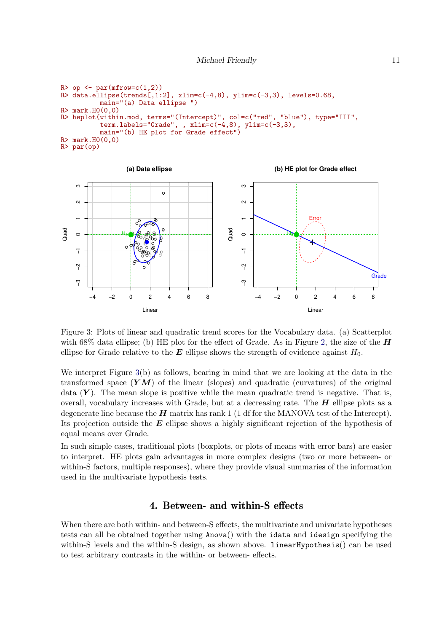```
R> op \leq par(mfrow=c(1,2))
R> data.ellipse(trends[,1:2], xlim=c(-4,8), ylim=c(-3,3), levels=0.68,
           main="(a) Data ellipse ")
R > mark.HO(0,0)<br>R > henlot(withi)heplot(within.mod, terms="(Intercept)", col=c("red", "blue"), type="III",
           term.labels="Grade", , xlim=c(-4,8), ylim=c(-3,3),
           main="(b) HE plot for Grade effect")
R > mark.HO(0,0)R> par(op)
```


<span id="page-10-1"></span>Figure 3: Plots of linear and quadratic trend scores for the Vocabulary data. (a) Scatterplot with 68% data ellipse; (b) HE plot for the effect of Grade. As in Figure [2,](#page-8-0) the size of the  $H$ ellipse for Grade relative to the  $E$  ellipse shows the strength of evidence against  $H_0$ .

We interpret Figure [3\(](#page-10-1)b) as follows, bearing in mind that we are looking at the data in the transformed space  $(YM)$  of the linear (slopes) and quadratic (curvatures) of the original data  $(Y)$ . The mean slope is positive while the mean quadratic trend is negative. That is, overall, vocabulary increases with Grade, but at a decreasing rate. The  $H$  ellipse plots as a degenerate line because the  $H$  matrix has rank 1 (1 df for the MANOVA test of the Intercept). Its projection outside the  $E$  ellipse shows a highly significant rejection of the hypothesis of equal means over Grade.

In such simple cases, traditional plots (boxplots, or plots of means with error bars) are easier to interpret. HE plots gain advantages in more complex designs (two or more between- or within-S factors, multiple responses), where they provide visual summaries of the information used in the multivariate hypothesis tests.

## 4. Between- and within-S effects

<span id="page-10-0"></span>When there are both within- and between-S effects, the multivariate and univariate hypotheses tests can all be obtained together using Anova() with the idata and idesign specifying the within-S levels and the within-S design, as shown above. linearHypothesis() can be used to test arbitrary contrasts in the within- or between- effects.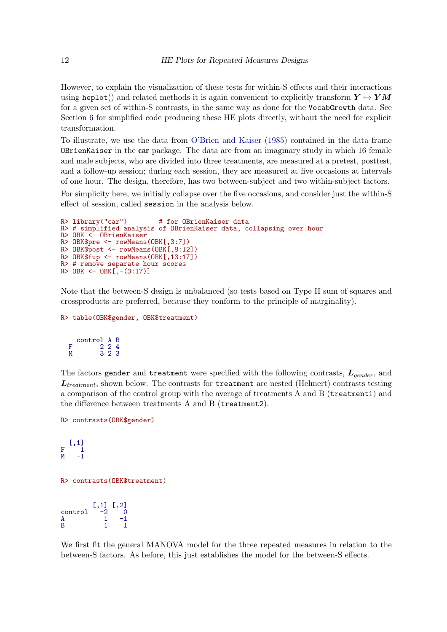However, to explain the visualization of these tests for within-S effects and their interactions using heplot() and related methods it is again convenient to explicitly transform  $Y \mapsto YM$ for a given set of within-S contrasts, in the same way as done for the VocabGrowth data. See Section [6](#page-26-0) for simplified code producing these HE plots directly, without the need for explicit transformation.

To illustrate, we use the data from [O'Brien and Kaiser](#page-36-7) [\(1985\)](#page-36-7) contained in the data frame OBrienKaiser in the car package. The data are from an imaginary study in which 16 female and male subjects, who are divided into three treatments, are measured at a pretest, posttest, and a follow-up session; during each session, they are measured at five occasions at intervals of one hour. The design, therefore, has two between-subject and two within-subject factors.

For simplicity here, we initially collapse over the five occasions, and consider just the within-S effect of session, called session in the analysis below.

```
R> library("car") # for OBrienKaiser data
R> # simplified analysis of OBrienKaiser data, collapsing over hour
R> OBK <- OBrienKaiser
R> OBK$pre <- rowMeans(OBK[,3:7])
R> OBK$post <- rowMeans(OBK[,8:12])
R > 0BK$fup <- rowMeans(OBK[,13:17])
R> # remove separate hour scores
R> OBK <- OBK[\,,-(3:17)\,]
```
Note that the between-S design is unbalanced (so tests based on Type II sum of squares and crossproducts are preferred, because they conform to the principle of marginality).

```
R> table(OBK$gender, OBK$treatment)
```
control A B F 2 2 4 M 3 2 3

The factors gender and treatment were specified with the following contrasts,  $L_{gender}$ , and  $L_{treatment}$ , shown below. The contrasts for treatment are nested (Helmert) contrasts testing a comparison of the control group with the average of treatments A and B (treatment1) and the difference between treatments A and B (treatment2).

```
R> contrasts(OBK$gender)
```

```
[,1]
F \tbinom{1}{1}M = -1
```
R> contrasts(OBK\$treatment)

 $[,1]$   $[,2]$  $control -2 0$  $A$  1  $-1$ B 1 1

We first fit the general MANOVA model for the three repeated measures in relation to the between-S factors. As before, this just establishes the model for the between-S effects.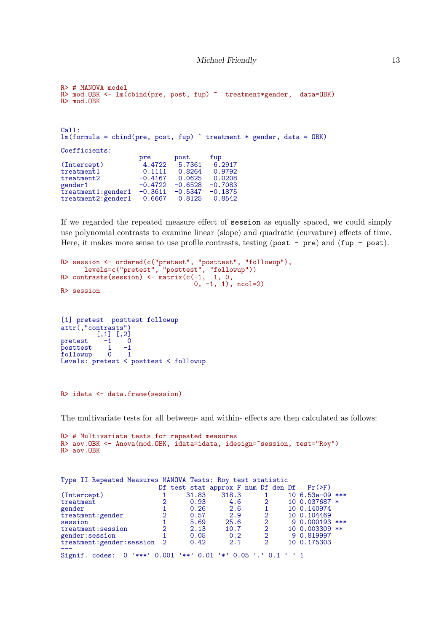```
R> # MANOVA model
R> mod.OBK <- lm(cbind(pre, post, fup) ~ treatment*gender, data=OBK)
R> mod.OBK
Call:
lm(formula = chind(pre, post, fup) \tilde{ }</math> treatment * gender, data = OBK)Coefficients:
                        pre post fup<br>4.4722 5.7361 6.2917
(Intercept) 4.4722 5.7361 6.2917<br>treatment1 0.1111 0.8264 0.9792
treatment1 0.1111 0.8264 0.9792
treatment2 -0.4167 0.0625 0.0208<br>gender1 -0.4722 -0.6528 -0.7083
                        -0.4722 -0.6528 -0.7083<br>-0.3611 -0.5347 -0.1875treatment1:gender1 -0.3611 -0.5347 -0.1875
treatment2: \breve{g}ender1
```
If we regarded the repeated measure effect of session as equally spaced, we could simply use polynomial contrasts to examine linear (slope) and quadratic (curvature) effects of time. Here, it makes more sense to use profile contrasts, testing (post - pre) and (fup - post).

```
R> session <- ordered(c("pretest", "posttest", "followup"),
       levels=c("pretest", "posttest", "followup"))
R> contrasts(session) \leftarrow matrix(c(-1, 1, 0,
                                      \left[0, -1, 1\right), ncol=2)
R> session
```

```
[1] pretest posttest followup
attr(,"contrasts")
```

```
\begin{bmatrix} 1 & 1 & 0 \\ -1 & 0 \end{bmatrix}pretest -1 0<br>posttest 1 -1\begin{bmatrix} \text{posttest} \\ \text{follow up} \end{bmatrix}followup 0 1
Levels: pretest < posttest < followup
```
R> idata <- data.frame(session)

The multivariate tests for all between- and within- effects are then calculated as follows:

```
R> # Multivariate tests for repeated measures
R> aov. OBK <- Anova (mod. OBK, idata=idata, idesign="session, test="Roy")
R> aov.OBK
```

| Type II Repeated Measures MANOVA Tests: Roy test statistic    |               |       |                                     |                             |  |                  |  |  |
|---------------------------------------------------------------|---------------|-------|-------------------------------------|-----------------------------|--|------------------|--|--|
|                                                               |               |       | Df test stat approx F num Df den Df |                             |  | $Pr(>=F)$        |  |  |
| (Intercept)                                                   |               | 31.83 | 318.3                               |                             |  | $106.53e-09$ *** |  |  |
| treatment                                                     |               | 0.93  | 4.6                                 | 2                           |  | 10 0.037687 *    |  |  |
| gender                                                        |               | 0.26  | 2.6                                 |                             |  | 10 0.140974      |  |  |
| treatment: gender                                             | $\mathcal{D}$ | 0.57  | 2.9                                 | $\overline{2}$              |  | 10 0.104469      |  |  |
| session                                                       |               | 5.69  | 25.6                                | $\overline{2}$              |  | $90.000193$ ***  |  |  |
| treatment: session                                            | $\mathcal{D}$ | 2.13  | 10.7                                | $\overline{2}$              |  | 10 0.003309 **   |  |  |
| gender: session                                               |               | 0.05  | 0.2                                 | $\overline{2}$              |  | 9 0.819997       |  |  |
| treatment: gender: session 2                                  |               | 0.42  | 2.1                                 | $\mathcal{D}_{\mathcal{L}}$ |  | 10 0.175303      |  |  |
| Signif. codes: 0 '***' 0.001 '**' 0.01 '*' 0.05 '.' 0.1 ' ' 1 |               |       |                                     |                             |  |                  |  |  |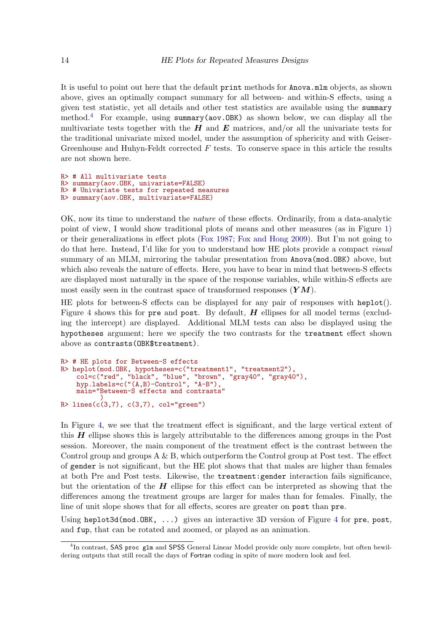It is useful to point out here that the default print methods for Anova.mlm objects, as shown above, gives an optimally compact summary for all between- and within-S effects, using a given test statistic, yet all details and other test statistics are available using the summary method.<sup>[4](#page-13-0)</sup> For example, using summary(aov.OBK) as shown below, we can display all the multivariate tests together with the  $H$  and  $E$  matrices, and/or all the univariate tests for the traditional univariate mixed model, under the assumption of sphericity and with Geiser-Greenhouse and Huhyn-Feldt corrected  $F$  tests. To conserve space in this article the results are not shown here.

```
R> # All multivariate tests
R> summary(aov.OBK, univariate=FALSE)
R> # Univariate tests for repeated measures
R> summary(aov.OBK, multivariate=FALSE)
```
OK, now its time to understand the nature of these effects. Ordinarily, from a data-analytic point of view, I would show traditional plots of means and other measures (as in Figure [1\)](#page-6-0) or their generalizations in effect plots [\(Fox 1987;](#page-35-9) [Fox and Hong 2009\)](#page-35-10). But I'm not going to do that here. Instead, I'd like for you to understand how HE plots provide a compact visual summary of an MLM, mirroring the tabular presentation from Anova(mod.OBK) above, but which also reveals the nature of effects. Here, you have to bear in mind that between-S effects are displayed most naturally in the space of the response variables, while within-S effects are most easily seen in the contrast space of transformed responses  $(YM)$ .

HE plots for between-S effects can be displayed for any pair of responses with heplot(). Figure [4](#page-14-0) shows this for pre and post. By default,  $H$  ellipses for all model terms (excluding the intercept) are displayed. Additional MLM tests can also be displayed using the hypotheses argument; here we specify the two contrasts for the treatment effect shown above as contrasts(OBK\$treatment).

```
R> # HE plots for Between-S effects
R> heplot(mod.OBK, hypotheses=c("treatment1", "treatment2"),
    col=c("red", "black", "blue", "brown", "gray40", "gray40"),
    hyp.labels=c("(A,B)-Control", "A-B"),
    main="Between-S effects and contrasts"
          )
R> lines(c(3,7), c(3,7), col="green")
```
In Figure [4,](#page-14-0) we see that the treatment effect is significant, and the large vertical extent of this  $H$  ellipse shows this is largely attributable to the differences among groups in the Post session. Moreover, the main component of the treatment effect is the contrast between the Control group and groups  $A \& B$ , which outperform the Control group at Post test. The effect of gender is not significant, but the HE plot shows that that males are higher than females at both Pre and Post tests. Likewise, the treatment:gender interaction fails significance, but the orientation of the  $H$  ellipse for this effect can be interpreted as showing that the differences among the treatment groups are larger for males than for females. Finally, the line of unit slope shows that for all effects, scores are greater on post than pre.

Using heplot3d(mod.OBK,  $\ldots$ ) gives an interactive 3D version of Figure [4](#page-14-0) for pre, post, and fup, that can be rotated and zoomed, or played as an animation.

<span id="page-13-0"></span><sup>&</sup>lt;sup>4</sup>In contrast, SAS proc glm and SPSS General Linear Model provide only more complete, but often bewildering outputs that still recall the days of Fortran coding in spite of more modern look and feel.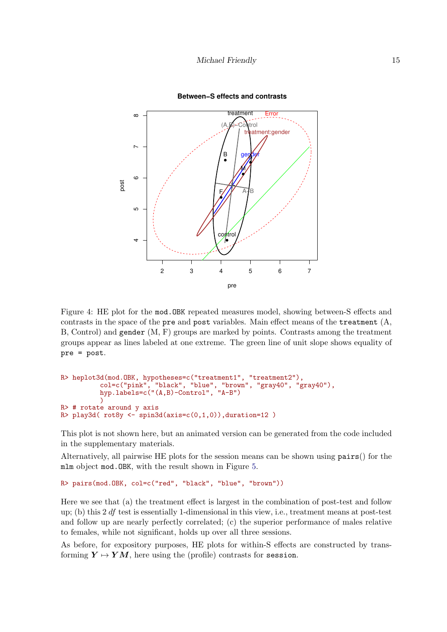

<span id="page-14-0"></span>**Between−S effects and contrasts**

Figure 4: HE plot for the mod.OBK repeated measures model, showing between-S effects and contrasts in the space of the pre and post variables. Main effect means of the treatment  $(A, \mathcal{A})$ B, Control) and gender (M, F) groups are marked by points. Contrasts among the treatment groups appear as lines labeled at one extreme. The green line of unit slope shows equality of pre = post.

```
R> heplot3d(mod.OBK, hypotheses=c("treatment1", "treatment2"),
          col=c("pink", "black", "blue", "brown", "gray40", "gray40"),
          hyp.labels=c("(A,B)-Control", "A-B")
          )
R> # rotate around y axis
R> play3d(rot8y \leftarrow spin3d(axis=c(0,1,0)), duration=12)
```
This plot is not shown here, but an animated version can be generated from the code included in the supplementary materials.

Alternatively, all pairwise HE plots for the session means can be shown using pairs() for the mlm object mod.OBK, with the result shown in Figure [5.](#page-15-0)

```
R> pairs(mod.OBK, col=c("red", "black", "blue", "brown"))
```
Here we see that (a) the treatment effect is largest in the combination of post-test and follow up; (b) this 2 df test is essentially 1-dimensional in this view, i.e., treatment means at post-test and follow up are nearly perfectly correlated; (c) the superior performance of males relative to females, while not significant, holds up over all three sessions.

As before, for expository purposes, HE plots for within-S effects are constructed by transforming  $Y \mapsto YM$ , here using the (profile) contrasts for session.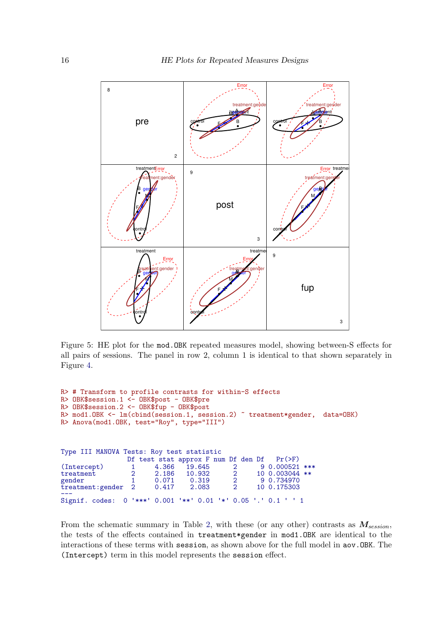

<span id="page-15-0"></span>Figure 5: HE plot for the mod.OBK repeated measures model, showing between-S effects for all pairs of sessions. The panel in row 2, column 1 is identical to that shown separately in Figure [4.](#page-14-0)

```
R> # Transform to profile contrasts for within-S effects
R> OBK$session.1 <- OBK$post - OBK$pre
R> OBK$session.2 <- OBK$fup - OBK$post
R> mod1.OBK <- lm(cbind(session.1, session.2) ~ treatment*gender, data=OBK)
R> Anova(mod1.OBK, test="Roy", type="III")
Type III MANOVA Tests: Roy test statistic
                 Df test stat approx F num Df den Df Pr(>F)
(Intercept)  1  4.366  19.645  2  9 0.000521 ***<br>treatment  2  2.186  10.932  2  10  0.003044 **
treatment 2 2.186 10.932 2 10 0.003044 **<br>gender 1 0.071 0.319 2 9 0.734970
                  gender 1 0.071 0.319 2 9 0.734970
treatment:gender 2 0.417 2.083 2 10 0.175303
---
Signif. codes: 0 '***' 0.001 '**' 0.01 '*' 0.05 '.' 0.1 ' ' 1
```
From the schematic summary in Table [2,](#page-3-2) with these (or any other) contrasts as  $M_{session}$ , the tests of the effects contained in treatment\*gender in mod1.OBK are identical to the interactions of these terms with session, as shown above for the full model in aov.OBK. The (Intercept) term in this model represents the session effect.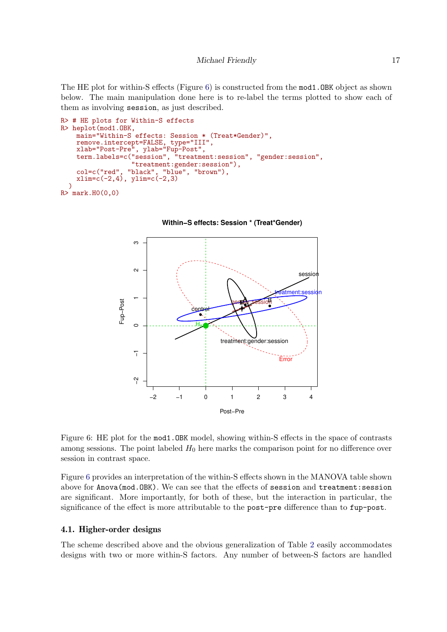The HE plot for within-S effects (Figure [6\)](#page-16-0) is constructed from the mod1.OBK object as shown below. The main manipulation done here is to re-label the terms plotted to show each of them as involving session, as just described.

```
R> # HE plots for Within-S effects
R> heplot(mod1.OBK,
    main="Within-S effects: Session * (Treat*Gender)",
    remove.intercept=FALSE, type="III",
    xlab="Post-Pre", ylab="Fup-Post",
    term.labels=c("session", "treatment:session", "gender:session",
                  "treatment:gender:session"),
    col=c("red", "black", "blue", "brown"),
    xlim=c(-2,4), ylim=c(-2,3)
  )
R> mark.H0(0,0)
```
<span id="page-16-0"></span>



Figure 6: HE plot for the mod1.OBK model, showing within-S effects in the space of contrasts among sessions. The point labeled  $H_0$  here marks the comparison point for no difference over session in contrast space.

Figure [6](#page-16-0) provides an interpretation of the within-S effects shown in the MANOVA table shown above for Anova(mod.OBK). We can see that the effects of session and treatment:session are significant. More importantly, for both of these, but the interaction in particular, the significance of the effect is more attributable to the post-pre difference than to fup-post.

## 4.1. Higher-order designs

The scheme described above and the obvious generalization of Table [2](#page-3-2) easily accommodates designs with two or more within-S factors. Any number of between-S factors are handled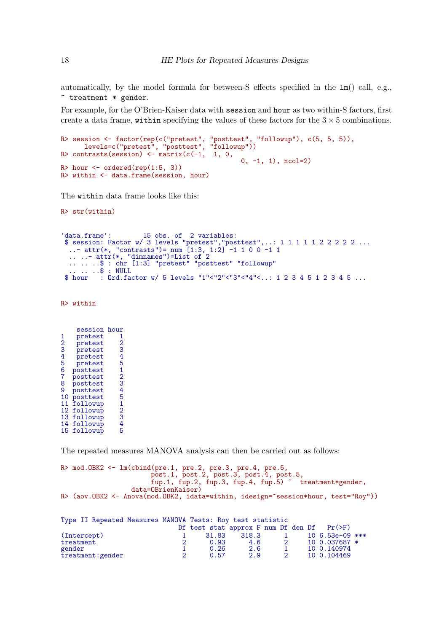automatically, by the model formula for between-S effects specified in the  $lm()$  call, e.g., ~ treatment \* gender.

For example, for the O'Brien-Kaiser data with session and hour as two within-S factors, first create a data frame, within specifying the values of these factors for the  $3 \times 5$  combinations.

```
R> session <- factor(rep(c("pretest", "posttest", "followup"), c(5, 5, 5)),
      levels=c("pretest", "posttest", "followup"))
R> contrasts(session) \leftarrow matrix(c(-1, 1, 0,
                                                 0, -1, 1), \text{ncol=2}R> hour \leq ordered(rep(1:5, 3))
R> within <- data.frame(session, hour)
```
The within data frame looks like this:

R> str(within)

```
data.frame': 15 obs. of 2 variables:
$ session: Factor w/ 3 levels "pretest","posttest",..: 1 1 1 1 1 2 2 2 2 2 ...
..- attr(*, "contrasts")= num [1:3, 1:2] -1 1 0 0 -1 1
.. ..- attr(*, "dimnames")=List of 2
.. .. ..$ : chr [1:3] "pretest" "posttest" "followup"
.. .. ..$ : NULL
$ hour : Ord.factor w/ 5 levels "1"<"2"<"3"<"4"<..: 1 2 3 4 5 1 2 3 4 5 ...
```
R> within

|                | session  | hour             |
|----------------|----------|------------------|
| 1              | pretest  | 1                |
| $\overline{2}$ | pretest  | $\overline{2}$   |
| 3              | pretest  | 3                |
| 4              | pretest  | 4                |
| 5              | pretest  | 5                |
| 6              | posttest | 1                |
| $\overline{7}$ | posttest | $\overline{2}$   |
| 8              | posttest | $\bar{\text{3}}$ |
| 9              | posttest | 4                |
| 10             | posttest | 5                |
| 11             | followup | 1                |
| 12             | followup | $\overline{2}$   |
| 13             | followup | 3                |
| 14             | followup | 4                |
| 15             | followup | 5                |

The repeated measures MANOVA analysis can then be carried out as follows:

```
R> mod.OBK2 <- lm(cbind(pre.1, pre.2, pre.3, pre.4, pre.5,
                       post.1, post.2, post.3, post.4, post.5,
                       fup.1, fup.2, fup.3, fup.4, fup.5) " treatment*gender,
                  data=OBrienKaiser)
R> (aov.OBK2 <- Anova(mod.OBK2, idata=within, idesign=~session*hour, test="Roy"))
```

|             |                   |  | Type II Repeated Measures MANOVA Tests: Roy test statistic |       |                |                  |  |
|-------------|-------------------|--|------------------------------------------------------------|-------|----------------|------------------|--|
|             |                   |  | Df test stat approx F num Df den Df $Pr(\ge F)$            |       |                |                  |  |
| (Intercept) |                   |  | 31.83                                                      | 318.3 |                | $106.53e-09$ *** |  |
| treatment   |                   |  | 0.93                                                       | 4.6   | $\overline{2}$ | 10 0.037687 *    |  |
| gender      |                   |  | 0.26                                                       | 2.6   |                | 10 0.140974      |  |
|             | treatment: gender |  | 0.57                                                       | 2.9   | 0              | 10 0.104469      |  |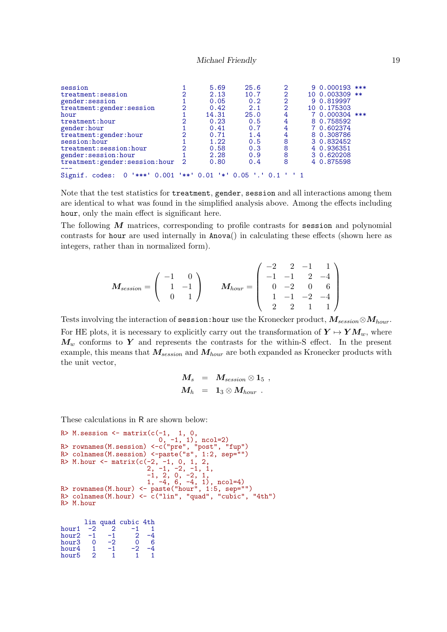#### Michael Friendly 19

| session                                    |               | 5.69                   | 25.6                           | 2 | $90.000193$ *** |
|--------------------------------------------|---------------|------------------------|--------------------------------|---|-----------------|
| treatment: session                         |               | 2.13                   | 10.7                           |   | 10 0.003309 **  |
| gender: session                            |               | 0.05                   | 0.2                            | 2 | 9 0.819997      |
| treatment: gender: session                 | $\mathcal{D}$ | 0.42                   | 2.1                            | 2 | 10 0.175303     |
| hour                                       |               | 14.31                  | 25.0                           | 4 | 7 0.000304 ***  |
| treatment: hour                            | 2             | 0.23                   | 0.5                            |   | 8 0.758592      |
| gender: hour                               |               | 0.41                   | 0.7                            | 4 | 7 0.602374      |
| treatment: gender: hour                    | 2             | 0.71                   | 1.4                            | 4 | 8 0.308786      |
| session: hour                              |               | 1.22                   | 0.5                            | 8 | 3 0.832452      |
| treatment: session: hour                   | ≘             | 0.58                   | 0.3                            | 8 | 4 0.936351      |
| gender: session: hour                      |               | 2.28                   | 0.9                            | 8 | 3 0.620208      |
| treatment: gender: session: hour           | 2             | 0.80                   | 0.4                            | 8 | 4 0.875598      |
| $0.001$ '**'<br>Signif.<br>'***'<br>codes: |               | 0.01<br>$\mathbb{R}^n$ | $0.05$ $\degree$ $\degree$ 0.1 |   |                 |

Note that the test statistics for treatment, gender, session and all interactions among them are identical to what was found in the simplified analysis above. Among the effects including hour, only the main effect is significant here.

The following  $M$  matrices, corresponding to profile contrasts for session and polynomial contrasts for hour are used internally in Anova() in calculating these effects (shown here as integers, rather than in normalized form).

$$
M_{session} = \left(\begin{array}{cc} -1 & 0 \\ 1 & -1 \\ 0 & 1 \end{array}\right) \qquad M_{hour} = \left(\begin{array}{cccc} -2 & 2 & -1 & 1 \\ -1 & -1 & 2 & -4 \\ 0 & -2 & 0 & 6 \\ 1 & -1 & -2 & -4 \\ 2 & 2 & 1 & 1 \end{array}\right)
$$

Tests involving the interaction of session:hour use the Kronecker product,  $M_{session} \otimes M_{hour}$ . For HE plots, it is necessary to explicitly carry out the transformation of  $Y \mapsto Y M_w$ , where  $M_w$  conforms to Y and represents the contrasts for the within-S effect. In the present example, this means that  $M_{session}$  and  $M_{hour}$  are both expanded as Kronecker products with the unit vector,

$$
\begin{array}{rcl} M_s &=& M_{session} \otimes {\bf 1}_5 \,\, ,\\ M_h &=& {\bf 1}_3 \otimes M_{hour} \,\, . \end{array}
$$

These calculations in R are shown below:

```
R> M.session \leq matrix(c(-1, 1, 0,0, -1, 1), \text{ncol}=2)R> rownames(M.session) <-c("pre", "post", "fup")
R> colnames(M.session) <-paste("s", 1:2, sep="")
R> M.hour <- matrix(c(-2, -1, 0, 1, 2,2, -1, -2, -1, 1,-1, 2, 0, -2, 1,1, -4, 6, -4, 1), \text{ncol=4}R> rownames(M.hour) <- paste("hour", 1:5, sep="")
R> colnames(M.hour) <- c("lin", "quad", "cubic", "4th")
R> M.hour
      \begin{array}{cccc} \text{lin quad cubic 4th} \\ -2 & 2 & -1 & 1 \\ -1 & -1 & -2 & -4 \end{array}hour1 -2 2 -1 1
hour2 -1 -1 2 -4
```

| -9 |    |  |
|----|----|--|
|    | -2 |  |
|    |    |  |
|    |    |  |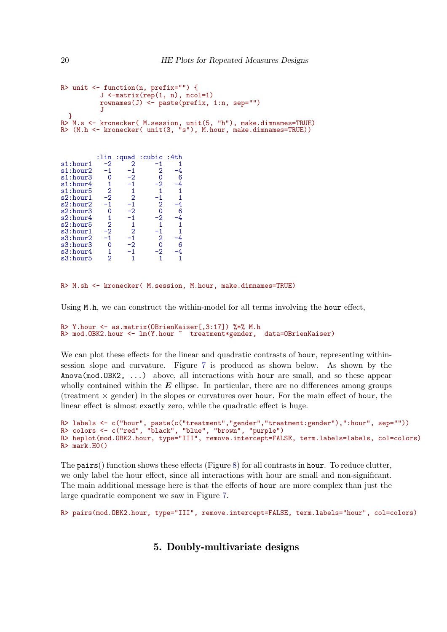```
R> unit <- function(n, prefix="") {
            J \leftarrow matrix(rep(1, n), ncol=1)rownames(J) <- paste(prefix, 1:n, sep="")
            J
  }
R> M.s <- kronecker( M.session, unit(5, "h"), make.dimnames=TRUE)
R> (M.h <- kronecker( unit(3, "s"), M.hour, make.dimnames=TRUE))
           :lin :quad :cubic :4th<br>-2 2 -1 1
s1: hour 1 -2 2 -1 1<br>s1: hour 2 -1 -1 2 -4
s1: hour2 -1 -1 2 -4<br>s1: hour3 0 -2 0 6s1:hour3 0 -2 0 6<br>s1:hour4 1 -1 -2 -4
s1:hour4  1 -1 -2 -4<br>s1:hour5  2  1  1  1
s1:hour5 2 1 1 1<br>s2:hour1 -2 2 -1 1
s2: hour 1 -2 2 -1 1<br>s2: hour 2 -1 -1 2 -4
```

```
\begin{array}{cccc} 2: \text{hour2} & -1 & -1 & 2 & -4 \\ \text{s2: hour3} & 0 & -2 & 0 & 6 \end{array}s2:hour3 0 -2 0 6<br>s2:hour4 1 -1 -2 -4
\begin{tabular}{cccccc} s2:hour4 & 1 & -1 & -2 & -4 \\ s2:hour5 & 2 & 1 & 1 & 1 \\ s3:hour1 & -2 & 2 & -1 & 1 \end{tabular}s2:hour5 2 1 1 1<br>s3:hour1 -2 2 -1 1
s3: hour 1 -2 2 -1 1<br>s3: hour 2 -1 -1 2 -4
s3:hour2 -1 -1 2 -4<br>s3:hour3 0 -2 0 6s3:hour3 0 -2 0 6<br>s3:hour4 1 -1 -2 -4
s3:hour4 1 -1 -2 -4<br>s3:hour5 2 1 1 1
s3:hour5
```
#### R> M.sh <- kronecker( M.session, M.hour, make.dimnames=TRUE)

Using M.h, we can construct the within-model for all terms involving the hour effect,

```
R> Y.hour \le as.matrix(OBrienKaiser[,3:17]) %*% M.h<br>R> mod.OBK2.hour \le 1m(Y.hour \le treatment*gender,
R> mod.OBK2.hour <- lm(Y.hour ~ treatment*gender, data=OBrienKaiser)
```
We can plot these effects for the linear and quadratic contrasts of hour, representing withinsession slope and curvature. Figure [7](#page-20-0) is produced as shown below. As shown by the Anova(mod.OBK2, ...) above, all interactions with hour are small, and so these appear wholly contained within the  $E$  ellipse. In particular, there are no differences among groups (treatment  $\times$  gender) in the slopes or curvatures over hour. For the main effect of hour, the linear effect is almost exactly zero, while the quadratic effect is huge.

```
R> labels <- c("hour", paste(c("treatment","gender","treatment:gender"),":hour", sep=""))
R> colors <- c("red", "black", "blue", "brown", "purple")
R> heplot(mod.OBK2.hour, type="III", remove.intercept=FALSE, term.labels=labels, col=colors)
R> mark.H0()
```
The pairs() function shows these effects (Figure [8\)](#page-21-0) for all contrasts in hour. To reduce clutter, we only label the hour effect, since all interactions with hour are small and non-significant. The main additional message here is that the effects of hour are more complex than just the large quadratic component we saw in Figure [7.](#page-20-0)

```
R> pairs(mod.OBK2.hour, type="III", remove.intercept=FALSE, term.labels="hour", col=colors)
```
## 5. Doubly-multivariate designs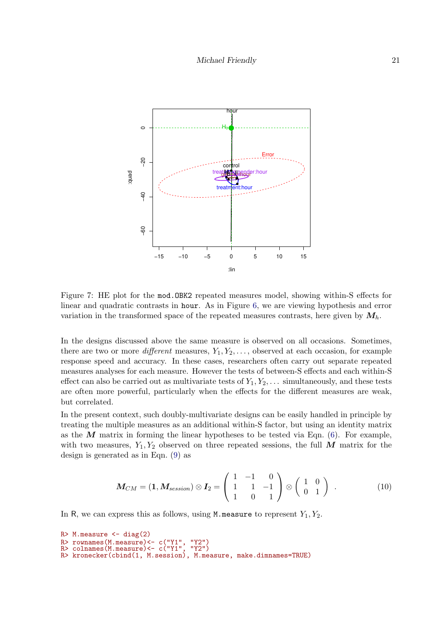

<span id="page-20-0"></span>Figure 7: HE plot for the mod.OBK2 repeated measures model, showing within-S effects for linear and quadratic contrasts in hour. As in Figure [6,](#page-16-0) we are viewing hypothesis and error variation in the transformed space of the repeated measures contrasts, here given by  $M_h$ .

In the designs discussed above the same measure is observed on all occasions. Sometimes, there are two or more different measures,  $Y_1, Y_2, \ldots$ , observed at each occasion, for example response speed and accuracy. In these cases, researchers often carry out separate repeated measures analyses for each measure. However the tests of between-S effects and each within-S effect can also be carried out as multivariate tests of  $Y_1, Y_2, \ldots$  simultaneously, and these tests are often more powerful, particularly when the effects for the different measures are weak, but correlated.

In the present context, such doubly-multivariate designs can be easily handled in principle by treating the multiple measures as an additional within-S factor, but using an identity matrix as the  $M$  matrix in forming the linear hypotheses to be tested via Eqn. [\(6\)](#page-3-1). For example, with two measures,  $Y_1, Y_2$  observed on three repeated sessions, the full M matrix for the design is generated as in Eqn. [\(9\)](#page-4-0) as

$$
M_{CM} = (1, M_{session}) \otimes I_2 = \begin{pmatrix} 1 & -1 & 0 \\ 1 & 1 & -1 \\ 1 & 0 & 1 \end{pmatrix} \otimes \begin{pmatrix} 1 & 0 \\ 0 & 1 \end{pmatrix} . \tag{10}
$$

In R, we can express this as follows, using M.measure to represent  $Y_1, Y_2$ .

```
R > M.measure \leftarrow diag(2)
R> rownames(M.measure)<- c("Y1", "Y2")
R> colnames(M.measure)<- c("Y1", "Y2")
R> cornames(m.measure) <= c("11", "12")<br>R> kronecker(cbind(1, M.session), M.measure, make.dimnames=TRUE)
```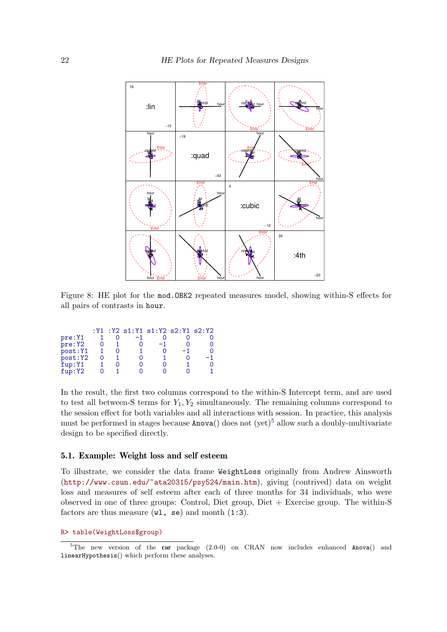

<span id="page-21-0"></span>Figure 8: HE plot for the mod.OBK2 repeated measures model, showing within-S effects for all pairs of contrasts in hour.

|          |  | $: Y1 : Y2 s1 : Y1 s1 : Y2 s2 : Y1 s2 : Y2$ |    |    |
|----------|--|---------------------------------------------|----|----|
| pre:Y1   |  |                                             |    |    |
| pre: Y2  |  | -1                                          |    | 0  |
| post: Y1 |  |                                             | -1 | Ω  |
| post:Y2  |  |                                             |    | -1 |
| fup:Y1   |  |                                             |    | 0  |
| fup:Y2   |  |                                             |    |    |

In the result, the first two columns correspond to the within-S Intercept term, and are used to test all between-S terms for  $Y_1, Y_2$  simultaneously. The remaining columns correspond to the session effect for both variables and all interactions with session. In practice, this analysis must be performed in stages because  $Anova()$  does not (yet)<sup>[5](#page-21-1)</sup> allow such a doubly-multivariate design to be specified directly.

### 5.1. Example: Weight loss and self esteem

To illustrate, we consider the data frame WeightLoss originally from Andrew Ainsworth (<http://www.csun.edu/~ata20315/psy524/main.htm>), giving (contrived) data on weight loss and measures of self esteem after each of three months for 34 individuals, who were observed in one of three groups: Control, Diet group, Diet  $+$  Exercise group. The within-S factors are thus measure  $(\texttt{wl}, \texttt{se})$  and month  $(1:3)$ .

R> table(WeightLoss\$group)

<span id="page-21-1"></span> $5$ The new version of the car package (2.0-0) on CRAN now includes enhanced Anova() and linearHypothesis() which perform these analyses.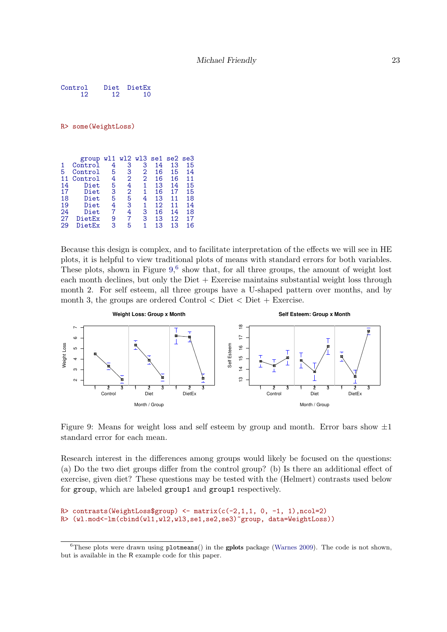Control Diet DietEx<br>12 12 10 **12** 

R> some(WeightLoss)

|    | group   |   |                |                |    | wl1 wl2 wl3 se1 se2 se3 |    |
|----|---------|---|----------------|----------------|----|-------------------------|----|
|    | Control | 4 | 3              | 3              | 14 | 13                      | 15 |
| 5  | Control | 5 | 3              | 2              | 16 | 15                      | 14 |
| 11 | Control | 4 | $\overline{2}$ | $\overline{2}$ | 16 | 16                      | 11 |
| 14 | Diet    | 5 | 4              | 1              | 13 | 14                      | 15 |
| 17 | Diet    | 3 | 2              | 1              | 16 | 17                      | 15 |
| 18 | Diet    | 5 | 5              | 4              | 13 | 11                      | 18 |
| 19 | Diet    | 4 | 3              | 1              | 12 | 11                      | 14 |
| 24 | Diet    | 7 | 4              | 3              | 16 | 14                      | 18 |
| 27 | DietEx  | 9 | 7              | З              | 13 | 12                      | 17 |
| 29 | DietEx  | 3 | 5              | 1              | 13 | 13                      | 16 |
|    |         |   |                |                |    |                         |    |

Because this design is complex, and to facilitate interpretation of the effects we will see in HE plots, it is helpful to view traditional plots of means with standard errors for both variables. These plots, shown in Figure  $9<sup>6</sup>$  $9<sup>6</sup>$  $9<sup>6</sup>$ , show that, for all three groups, the amount of weight lost each month declines, but only the  $\text{Diet} + \text{Exercise}$  maintains substantial weight loss through month 2. For self esteem, all three groups have a U-shaped pattern over months, and by month 3, the groups are ordered Control  $\langle$  Diet  $\langle$  Diet + Exercise.



<span id="page-22-0"></span>Figure 9: Means for weight loss and self esteem by group and month. Error bars show  $\pm 1$ standard error for each mean.

Research interest in the differences among groups would likely be focused on the questions: (a) Do the two diet groups differ from the control group? (b) Is there an additional effect of exercise, given diet? These questions may be tested with the (Helmert) contrasts used below for group, which are labeled group1 and group1 respectively.

```
R> contrasts(WeightLoss$group) \leftarrow matrix(c(-2,1,1, 0, -1, 1),ncol=2)
R> (wl.mod<-lm(cbind(wl1,wl2,wl3,se1,se2,se3)~group, data=WeightLoss))
```
<span id="page-22-1"></span> $6$ These plots were drawn using plotmeans() in the gplots package [\(Warnes 2009\)](#page-36-8). The code is not shown, but is available in the R example code for this paper.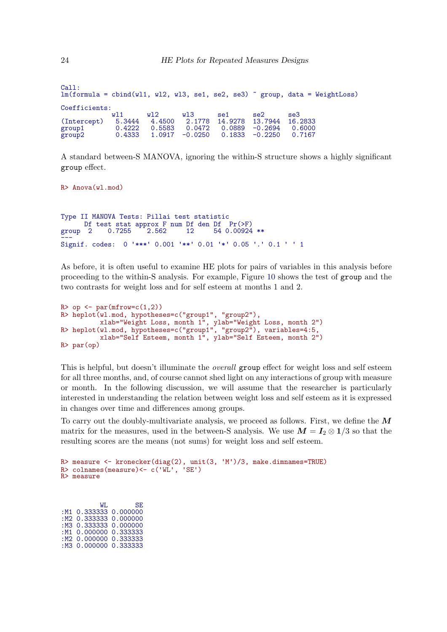| Call:         |        |        |           |         |                   | $lm(formula = chind(w11, w12, w13, sel, se2, se3)$ <i>"group, data = WeightLoss</i> ) |
|---------------|--------|--------|-----------|---------|-------------------|---------------------------------------------------------------------------------------|
| Coefficients: |        |        |           |         |                   |                                                                                       |
|               | w 11   | w12    | W13       | se1     | se2               | se3                                                                                   |
| (Intercept)   | 5.3444 | 4.4500 | 2.1778    | 14.9278 | 13.7944 16.2833   |                                                                                       |
| group1        | 0.4222 | 0.5583 | 0.0472    | 0.0889  | $-0.2694$         | 0.6000                                                                                |
| group2        | 0.4333 | 1.0917 | $-0.0250$ |         | $0.1833 - 0.2250$ | 0.7167                                                                                |

A standard between-S MANOVA, ignoring the within-S structure shows a highly significant group effect.

R> Anova(wl.mod) Type II MANOVA Tests: Pillai test statistic Df test stat approx F num Df den Df Pr(>F)<br>group 2 0.7255 2.562 12 54 0.00924 54 0.00924 \*\* group 2 0.7255 2.502 12 54 0.00924 \*\*<br>---<br>Signif. codes: 0 '\*\*\*' 0.001 '\*\*' 0.01 '\*' 0.05 '.' 0.1 ' ' 1

As before, it is often useful to examine HE plots for pairs of variables in this analysis before proceeding to the within-S analysis. For example, Figure [10](#page-24-0) shows the test of group and the two contrasts for weight loss and for self esteem at months 1 and 2.

```
R> op \leq par(mfrow=c(1,2))
R> heplot(wl.mod, hypotheses=c("group1", "group2"),
          xlab="Weight Loss, month 1", ylab="Weight Loss, month 2")
R> heplot(wl.mod, hypotheses=c("group1", "group2"), variables=4:5,
          xlab="Self Esteem, month 1", ylab="Self Esteem, month 2")
R> par(op)
```
This is helpful, but doesn't illuminate the *overall* group effect for weight loss and self esteem for all three months, and, of course cannot shed light on any interactions of group with measure or month. In the following discussion, we will assume that the researcher is particularly interested in understanding the relation between weight loss and self esteem as it is expressed in changes over time and differences among groups.

To carry out the doubly-multivariate analysis, we proceed as follows. First, we define the  $\boldsymbol{M}$ matrix for the measures, used in the between-S analysis. We use  $M = I_2 \otimes 1/3$  so that the resulting scores are the means (not sums) for weight loss and self esteem.

```
R> measure <- kronecker(diag(2), unit(3, 'M')/3, make.dimnames=TRUE)
R> measure <- kronecker(diag(2), uni<br>R> colnames(measure)<- c('WL', 'SE')
R> colnames(measure) <- c('WL', 'SE')<br>R> measure
```
WL SE :M1 0.333333 0.000000 :M2 0.333333 0.000000 :M3 0.333333 0.000000 :M1 0.000000 0.333333 :M2 0.000000 0.333333 :M3 0.000000 0.333333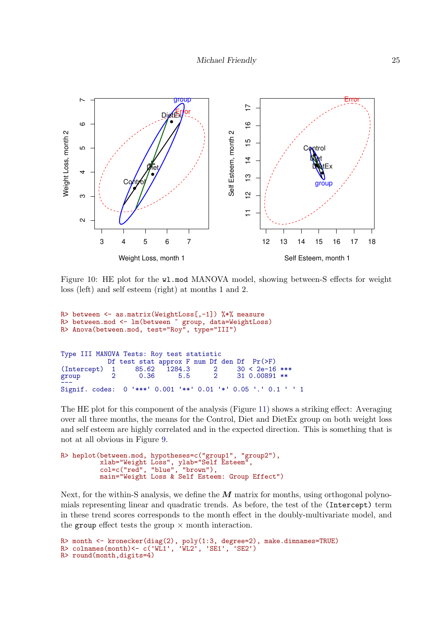

<span id="page-24-0"></span>Figure 10: HE plot for the wl.mod MANOVA model, showing between-S effects for weight loss (left) and self esteem (right) at months 1 and 2.

```
R> between \leq as.matrix(WeightLoss[,-1]) %*% measure
R> between.mod <- lm(between ~ group, data=WeightLoss)
R> Anova(between.mod, test="Roy", type="III")
Type III MANOVA Tests: Roy test statistic
             Df test stat approx F num Df den Df Pr(>F)<br>1 85.62 1284.3 2 30 < 2e-16 ***
(Intercept) 1 85.62 1284.3 2<br>group 2 0.36 5.5 2
                                                   310.00891 **
Signif. codes:
                  0 '***' 0.001 '**' 0.01 '*' 0.05 '.' 0.1 ' ' 1
```
The HE plot for this component of the analysis (Figure [11\)](#page-25-0) shows a striking effect: Averaging over all three months, the means for the Control, Diet and DietEx group on both weight loss and self esteem are highly correlated and in the expected direction. This is something that is not at all obvious in Figure [9.](#page-22-0)

```
R> heplot(between.mod, hypotheses=c("group1", "group2"),
          xlab="Weight Loss", ylab="Self Esteem",
          col=c("red", "blue", "brown"),
         main="Weight Loss & Self Esteem: Group Effect")
```
Next, for the within-S analysis, we define the  $\overline{M}$  matrix for months, using orthogonal polynomials representing linear and quadratic trends. As before, the test of the (Intercept) term in these trend scores corresponds to the month effect in the doubly-multivariate model, and the group effect tests the group  $\times$  month interaction.

```
R> month <- kronecker(diag(2), poly(1:3, degree=2), make.dimnames=TRUE)<br>R> colnames(month)<- c('WL1', 'WL2', 'SE1', 'SE2')
R> round(month,digits=4)
```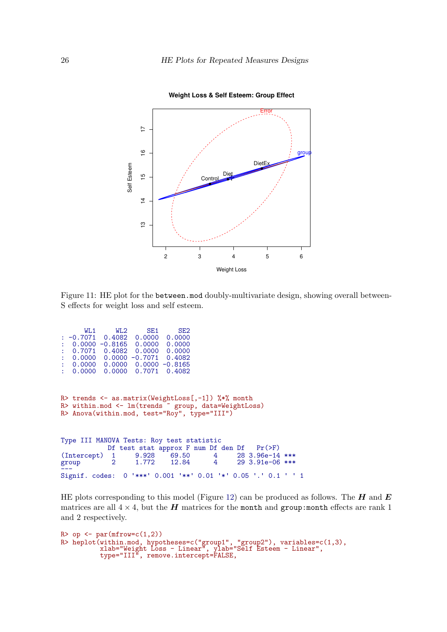

<span id="page-25-0"></span>**Weight Loss & Self Esteem: Group Effect**

Figure 11: HE plot for the between.mod doubly-multivariate design, showing overall between-S effects for weight loss and self esteem.

| WL1                                                           | WL2            | SE1 | SE <sub>2</sub> |                                                 |  |
|---------------------------------------------------------------|----------------|-----|-----------------|-------------------------------------------------|--|
| $: -0.7071$ 0.4082 0.0000 0.0000                              |                |     |                 |                                                 |  |
| $0.0000 - 0.8165 0.0000 0.0000$<br>2<1                        |                |     |                 |                                                 |  |
| $0.7071$ 0.4082 0.0000 0.0000                                 |                |     |                 |                                                 |  |
| $: 0.0000 0.0000 -0.7071 0.4082$                              |                |     |                 |                                                 |  |
| $: 0.0000 0.0000 0.0000 -0.8165$                              |                |     |                 |                                                 |  |
| $0.0000$ 0.0000 0.7071 0.4082                                 |                |     |                 |                                                 |  |
|                                                               |                |     |                 |                                                 |  |
|                                                               |                |     |                 |                                                 |  |
| R> trends <- as.matrix(WeightLoss[,-1]) $\frac{1}{2}$ , month |                |     |                 |                                                 |  |
| R> within.mod <- lm(trends ~ group, data=WeightLoss)          |                |     |                 |                                                 |  |
| R> Anova(within.mod, test="Roy", type="III")                  |                |     |                 |                                                 |  |
|                                                               |                |     |                 |                                                 |  |
|                                                               |                |     |                 |                                                 |  |
| Type III MANOVA Tests: Roy test statistic                     |                |     |                 |                                                 |  |
|                                                               |                |     |                 |                                                 |  |
|                                                               |                |     |                 | Df test stat approx F num Df den Df $Pr(\ge F)$ |  |
| (Intercept) 1 9.928 69.50 4 28 3.96e-14 ***                   |                |     |                 |                                                 |  |
| group                                                         | $\overline{2}$ |     |                 | 1.772 12.84 4 29 3.91e-06 ***                   |  |
| Signif. codes: 0 '***' 0.001 '**' 0.01 '*' 0.05 '.' 0.1 ' ' 1 |                |     |                 |                                                 |  |
|                                                               |                |     |                 |                                                 |  |

HE plots corresponding to this model (Figure [12\)](#page-26-1) can be produced as follows. The  $H$  and  $E$ matrices are all  $4 \times 4$ , but the **H** matrices for the month and group: month effects are rank 1 and 2 respectively.

```
R> op \leftarrow par(mfrow=c(1,2))
R> heplot(within.mod, hypotheses=c("group1", "group2"), variables=c(1,3),
          xlab="Weight Loss - Linear", ylab="Self Esteem - Linear",
          type="III", remove.intercept=FALSE,
```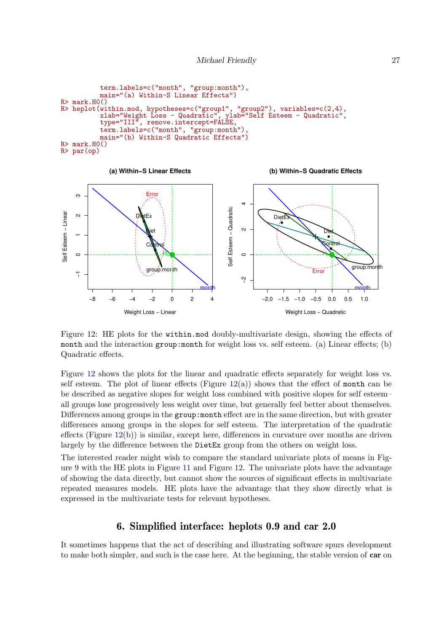```
term.labels=c("month", "group:month"),
            main="(a) Within-S Linear Effects")
R> mark.H0()
R> heplot(within.mod, hypotheses=c("group1", "group2"), variables=c(2,4), xlab="Weight Loss - Quadratic", ylab="Self Esteem - Quadratic",
            xlab="Weight Loss - Quadratic", ylab="Self Esteem - Quadratic",
            type="III", remove.intercept=FALSE,
            term.labels=c("month", "group:month"),
            main="(b) Within-S Quadratic Effects")
R> mark.H0()
R> par(op)
```


<span id="page-26-1"></span>Figure 12: HE plots for the within.mod doubly-multivariate design, showing the effects of month and the interaction group: month for weight loss vs. self esteem. (a) Linear effects; (b) Quadratic effects.

Figure [12](#page-26-1) shows the plots for the linear and quadratic effects separately for weight loss vs. self esteem. The plot of linear effects (Figure  $12(a)$  $12(a)$ ) shows that the effect of month can be be described as negative slopes for weight loss combined with positive slopes for self esteem– all groups lose progressively less weight over time, but generally feel better about themselves. Differences among groups in the group: month effect are in the same direction, but with greater differences among groups in the slopes for self esteem. The interpretation of the quadratic effects (Figure  $12(b)$  $12(b)$ ) is similar, except here, differences in curvature over months are driven largely by the difference between the DietEx group from the others on weight loss.

The interested reader might wish to compare the standard univariate plots of means in Figure [9](#page-22-0) with the HE plots in Figure [11](#page-25-0) and Figure [12.](#page-26-1) The univariate plots have the advantage of showing the data directly, but cannot show the sources of significant effects in multivariate repeated measures models. HE plots have the advantage that they show directly what is expressed in the multivariate tests for relevant hypotheses.

## 6. Simplified interface: heplots 0.9 and car 2.0

<span id="page-26-0"></span>It sometimes happens that the act of describing and illustrating software spurs development to make both simpler, and such is the case here. At the beginning, the stable version of car on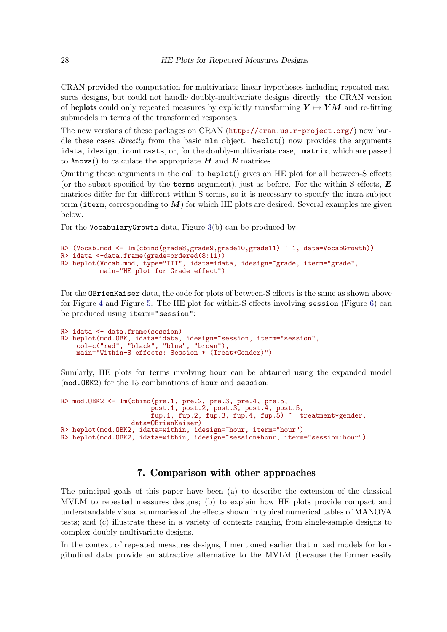CRAN provided the computation for multivariate linear hypotheses including repeated measures designs, but could not handle doubly-multivariate designs directly; the CRAN version of heplots could only repeated measures by explicitly transforming  $Y \mapsto YM$  and re-fitting submodels in terms of the transformed responses.

The new versions of these packages on CRAN (<http://cran.us.r-project.org/>) now handle these cases *directly* from the basic  $m \ln b$  object. heplot() now provides the arguments idata, idesign, icontrasts, or, for the doubly-multivariate case, imatrix, which are passed to Anova() to calculate the appropriate  $H$  and  $E$  matrices.

Omitting these arguments in the call to heplot() gives an HE plot for all between-S effects (or the subset specified by the terms argument), just as before. For the within-S effects,  $\boldsymbol{E}$ matrices differ for for different within-S terms, so it is necessary to specify the intra-subject term (iterm, corresponding to  $M$ ) for which HE plots are desired. Several examples are given below.

For the VocabularyGrowth data, Figure [3\(](#page-10-1)b) can be produced by

```
R> (Vocab.mod <- lm(cbind(grade8,grade9,grade10,grade11) ~ 1, data=VocabGrowth))
R> idata <-data.frame(grade=ordered(8:11))
R> heplot(Vocab.mod, type="III", idata=idata, idesign="grade, iterm="grade",
          main="HE plot for Grade effect")
```
For the OBrienKaiser data, the code for plots of between-S effects is the same as shown above for Figure [4](#page-14-0) and Figure [5.](#page-15-0) The HE plot for within-S effects involving session (Figure [6\)](#page-16-0) can be produced using iterm="session":

```
R> idata <- data.frame(session)
R> heplot(mod.OBK, idata=idata, idesign="session, iterm="session",
    col=c("red", "black", "blue", "brown"),
    main="Within-S effects: Session * (Treat*Gender)")
```
Similarly, HE plots for terms involving hour can be obtained using the expanded model (mod.OBK2) for the 15 combinations of hour and session:

```
R> mod.OBK2 <- lm(cbind(pre.1, pre.2, pre.3, pre.4, pre.5,
                       post.1, post.2, post.3, post.4, post.5,
                       fup.1, fup.2, fup.3, fup.4, fup.5) " treatment*gender,
                 data=OBrienKaiser)
R> heplot(mod.OBK2, idata=within, idesign="hour, iterm="hour")
R> heplot(mod.OBK2, idata=within, idesign=~session*hour, iterm="session:hour")
```
## 7. Comparison with other approaches

<span id="page-27-0"></span>The principal goals of this paper have been (a) to describe the extension of the classical MVLM to repeated measures designs; (b) to explain how HE plots provide compact and understandable visual summaries of the effects shown in typical numerical tables of MANOVA tests; and (c) illustrate these in a variety of contexts ranging from single-sample designs to complex doubly-multivariate designs.

In the context of repeated measures designs, I mentioned earlier that mixed models for longitudinal data provide an attractive alternative to the MVLM (because the former easily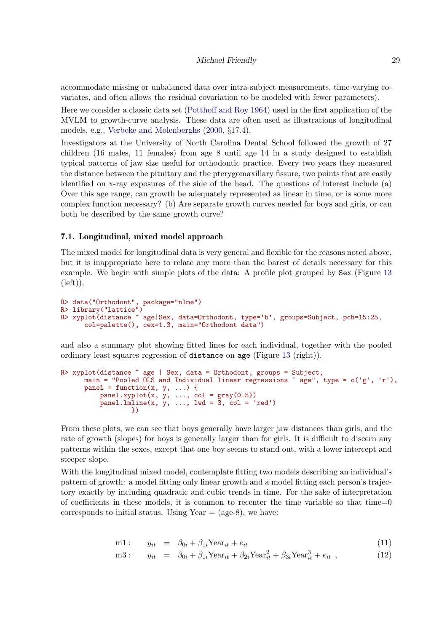accommodate missing or unbalanced data over intra-subject measurements, time-varying covariates, and often allows the residual covariation to be modeled with fewer parameters).

Here we consider a classic data set [\(Potthoff and Roy 1964\)](#page-36-9) used in the first application of the MVLM to growth-curve analysis. These data are often used as illustrations of longitudinal models, e.g., [Verbeke and Molenberghs](#page-36-6) [\(2000,](#page-36-6) §17.4).

Investigators at the University of North Carolina Dental School followed the growth of 27 children (16 males, 11 females) from age 8 until age 14 in a study designed to establish typical patterns of jaw size useful for orthodontic practice. Every two years they measured the distance between the pituitary and the pterygomaxillary fissure, two points that are easily identified on x-ray exposures of the side of the head. The questions of interest include (a) Over this age range, can growth be adequately represented as linear in time, or is some more complex function necessary? (b) Are separate growth curves needed for boys and girls, or can both be described by the same growth curve?

### 7.1. Longitudinal, mixed model approach

The mixed model for longitudinal data is very general and flexible for the reasons noted above, but it is inappropriate here to relate any more than the barest of details necessary for this example. We begin with simple plots of the data: A profile plot grouped by Sex (Figure [13](#page-29-0)  $(left)),$ 

```
R> data("Orthodont", package="nlme")
R> library("lattice")
R> xyplot(distance ~ age|Sex, data=Orthodont, type='b', groups=Subject, pch=15:25,
      col=palette(), cex=1.3, main="Orthodont data")
```
and also a summary plot showing fitted lines for each individual, together with the pooled ordinary least squares regression of distance on age (Figure [13](#page-29-0) (right)).

```
R> xyplot(distance \tilde{ } age | Sex, data = Orthodont, groups = Subject,
       main = "Pooled OLS and Individual linear regressions \tilde{ } age", type = c('g', 'r'),
       panel = function(x, y, ...) {
             panel.xyplot(x, y, ..., col = gray(0.5))<br>panel.lmline(x, y, ..., lwd = 3, col = 'red')
                       })
```
From these plots, we can see that boys generally have larger jaw distances than girls, and the rate of growth (slopes) for boys is generally larger than for girls. It is difficult to discern any patterns within the sexes, except that one boy seems to stand out, with a lower intercept and steeper slope.

With the longitudinal mixed model, contemplate fitting two models describing an individual's pattern of growth: a model fitting only linear growth and a model fitting each person's trajectory exactly by including quadratic and cubic trends in time. For the sake of interpretation of coefficients in these models, it is common to recenter the time variable so that time= $0$ corresponds to initial status. Using Year  $=$  (age-8), we have:

$$
m1: \t y_{it} = \t \beta_{0i} + \beta_{1i} \text{Year}_{it} + e_{it} \t (11)
$$

$$
m3: \t y_{it} = \t \beta_{0i} + \beta_{1i} \text{Year}_{it} + \beta_{2i} \text{Year}_{it}^2 + \beta_{3i} \text{Year}_{it}^3 + e_{it} , \t (12)
$$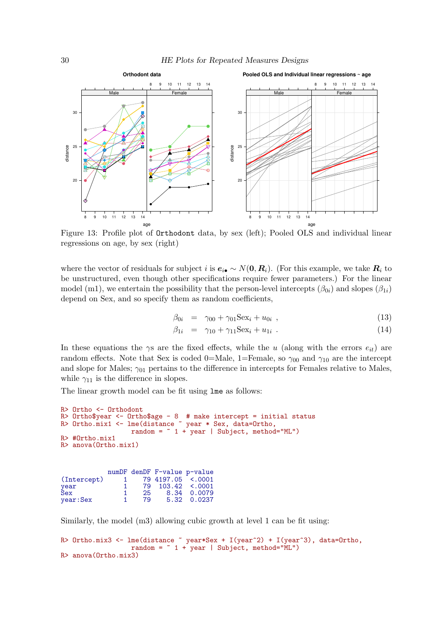

Figure 13: Profile plot of Orthodont data, by sex (left); Pooled OLS and individual linear regressions on age, by sex (right)

where the vector of residuals for subject i is  $e_{i\bullet} \sim N(0, R_i)$ . (For this example, we take  $R_i$  to be unstructured, even though other specifications require fewer parameters.) For the linear model (m1), we entertain the possibility that the person-level intercepts  $(\beta_{0i})$  and slopes  $(\beta_{1i})$ depend on Sex, and so specify them as random coefficients,

<span id="page-29-0"></span>
$$
\beta_{0i} = \gamma_{00} + \gamma_{01} \text{Sex}_i + u_{0i} \tag{13}
$$

$$
\beta_{1i} = \gamma_{10} + \gamma_{11} \text{Sex}_i + u_{1i} \tag{14}
$$

In these equations the  $\gamma s$  are the fixed effects, while the u (along with the errors  $e_{it}$ ) are random effects. Note that Sex is coded 0=Male, 1=Female, so  $\gamma_{00}$  and  $\gamma_{10}$  are the intercept and slope for Males;  $\gamma_{01}$  pertains to the difference in intercepts for Females relative to Males, while  $\gamma_{11}$  is the difference in slopes.

The linear growth model can be fit using lme as follows:

```
R> Ortho <- Orthodont
R> Ortho$year <- Ortho$age - 8 # make intercept = initial status
R> Ortho.mix1 <- lme(distance ~ year * Sex, data=Ortho,
                  random = \degree 1 + year | Subject, method="ML")
R> #Ortho.mix1
R> anova(Ortho.mix1)
```

|             |              |    | numDF denDF F-value p-value |             |
|-------------|--------------|----|-----------------------------|-------------|
| (Intercept) | $\mathbf{1}$ |    | 79 4197.05 <.0001           |             |
|             |              |    | 79 103.42 <.0001            |             |
| year<br>Sex |              | 25 |                             | 8.34 0.0079 |
| year: Sex   |              | 79 |                             | 5.32 0.0237 |

Similarly, the model (m3) allowing cubic growth at level 1 can be fit using:

```
R> Ortho.mix3 <- lme(distance \tilde{ } year*Sex + I(year^2) + I(year^3), data=Ortho,
                   random = * 1 + year | Subject, method="ML")
R> anova(Ortho.mix3)
```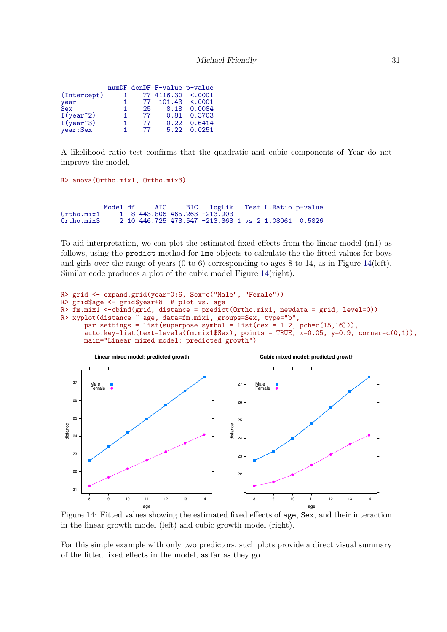|    |      | $101.43 \div 0001$                                            |
|----|------|---------------------------------------------------------------|
|    |      | 8.18 0.0084                                                   |
| 77 |      | 0.81 0.3703                                                   |
| 77 | 0.22 | 0.6414                                                        |
| 77 |      | 5.22 0.0251                                                   |
|    |      | numDF denDF F-value p-value<br>77 4116.30 <.0001<br>77<br>25. |

A likelihood ratio test confirms that the quadratic and cubic components of Year do not improve the model,

```
R> anova(Ortho.mix1, Ortho.mix3)
```
Model df AIC BIC logLik Test L.Ratio p-value 1 8 443.806 465.263 -213.903 Ortho.mix1 1 8 443.806 465.263 -213.903 Ortho.mix3 2 10 446.725 473.547 -213.363 1 vs 2 1.08061 0.5826

To aid interpretation, we can plot the estimated fixed effects from the linear model (m1) as follows, using the predict method for lme objects to calculate the the fitted values for boys and girls over the range of years (0 to 6) corresponding to ages 8 to 14, as in Figure [14\(](#page-30-0)left). Similar code produces a plot of the cubic model Figure [14\(](#page-30-0)right).

```
R> grid <- expand.grid(year=0:6, Sex=c("Male", "Female"))
R> grid$age <- grid$year+8 # plot vs. age
R> \overline{r}m.mix1 <-cbind(grid, distance = predict(Ortho.mix1, newdata = grid, level=0))<br>R> xyplot(distance ~ age, data=fm.mix1, groups=Sex, type="b",
                        age, data=fm.mix1, groups=Sex, type="b",
       par.settings = list(superpose.symbol = list(cex = 1.2, pch=c(15,16))),
       auto.key=list(text=levels(fm.mix1$Sex), points = TRUE, x=0.05, y=0.9, corner=c(0,1)),
       main="Linear mixed model: predicted growth")
```
<span id="page-30-0"></span>

Figure 14: Fitted values showing the estimated fixed effects of age, Sex, and their interaction in the linear growth model (left) and cubic growth model (right).

For this simple example with only two predictors, such plots provide a direct visual summary of the fitted fixed effects in the model, as far as they go.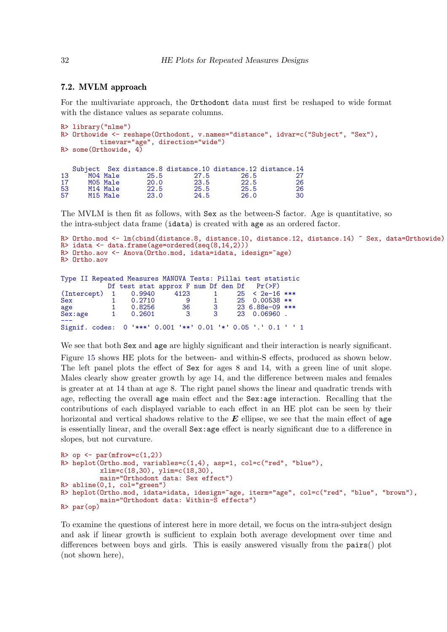### 7.2. MVLM approach

For the multivariate approach, the Orthodont data must first be reshaped to wide format with the distance values as separate columns.

```
R> library("nlme")
R> Orthowide <- reshape(Orthodont, v.names="distance", idvar=c("Subject", "Sex"),
       timevar="age", direction="wide")
R> some(Orthowide, 4)
  Subject Sex distance.8 distance.10 distance.12 distance.14
13 M04 Male 25.5 27.5 26.5 27
17 M05 Male 20.0 23.5 22.5 26
53 M14 Male 22.5 25.5 25.5 26
57 M15 Male 23.0 24.5 26.0 30
```
The MVLM is then fit as follows, with Sex as the between-S factor. Age is quantitative, so the intra-subject data frame (idata) is created with age as an ordered factor.

```
R> Ortho.mod <- lm(cbind(distance.8, distance.10, distance.12, distance.14) ~ Sex, data=Orthowide)
R> idata <- data.frame(age=ordered(seq(8,14,2)))
R> Ortho.aov <- Anova(Ortho.mod, idata=idata, idesign="age)
R> Ortho.aov
Type II Repeated Measures MANOVA Tests: Pillai test statistic
             Df test stat approx F num Df den Df Pr(>F)<br>1 0.9940 4123 1 25 < 2e-16 ***
(Intercept) 1 0.9940 4123 1 25<br>Sex 1 0.2710 9 1 25
Sex 1 0.2710 9 1 25 0.00538 **<br>age 1 0.8256 36 3 23 6.88e-09 **
age 1 0.8256 36 3 23 6.88e-09 ***<br>Sex:age 1 0.2601 3 3 23 0.06960.
                                                  23 0.06960.
```

```
Signif. codes:
                    0 \cdot***' 0.001 \cdot**' 0.01 \cdot*' 0.05 \cdot.' 0.1 \cdot ' 1
```
We see that both  $Sex$  and age are highly significant and their interaction is nearly significant.

Figure [15](#page-32-0) shows HE plots for the between- and within-S effects, produced as shown below. The left panel plots the effect of Sex for ages 8 and 14, with a green line of unit slope. Males clearly show greater growth by age 14, and the difference between males and females is greater at at 14 than at age 8. The right panel shows the linear and quadratic trends with age, reflecting the overall age main effect and the Sex:age interaction. Recalling that the contributions of each displayed variable to each effect in an HE plot can be seen by their horizontal and vertical shadows relative to the  $\vec{E}$  ellipse, we see that the main effect of age is essentially linear, and the overall Sex:age effect is nearly significant due to a difference in slopes, but not curvature.

```
R> op \leq par(mfrow=c(1,2))
R> heplot(Ortho.mod, variables=c(1,4), asp=1, col=c("red", "blue"),
          xlim=c(18,30), ylim=c(18,30),
          main="Orthodont data: Sex effect")
R> abline(0,1, col="green")
R> heplot(Ortho.mod, idata=idata, idesign=~age, iterm="age", col=c("red", "blue", "brown"),
          main="Orthodont data: Within-S effects")
R> par(op)
```
To examine the questions of interest here in more detail, we focus on the intra-subject design and ask if linear growth is sufficient to explain both average development over time and differences between boys and girls. This is easily answered visually from the pairs() plot (not shown here),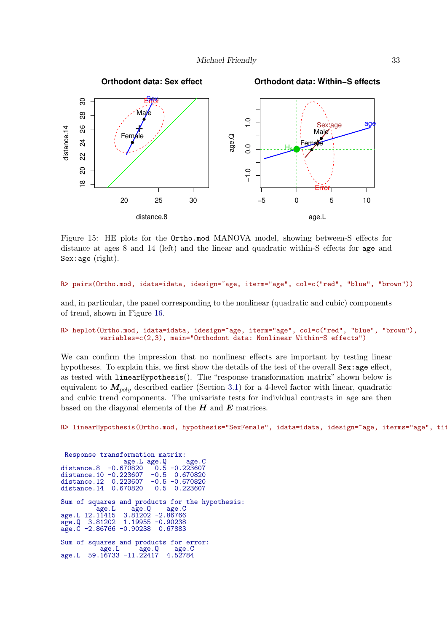

<span id="page-32-0"></span>Figure 15: HE plots for the Ortho.mod MANOVA model, showing between-S effects for distance at ages 8 and 14 (left) and the linear and quadratic within-S effects for age and Sex:age (right).

#### R> pairs(Ortho.mod, idata=idata, idesign="age, iterm="age", col=c("red", "blue", "brown"))

and, in particular, the panel corresponding to the nonlinear (quadratic and cubic) components of trend, shown in Figure [16.](#page-33-0)

#### R> heplot(Ortho.mod, idata=idata, idesign="age, iterm="age", col=c("red", "blue", "brown"), variables=c(2,3), main="Orthodont data: Nonlinear Within-S effects")

We can confirm the impression that no nonlinear effects are important by testing linear hypotheses. To explain this, we first show the details of the test of the overall Sex: age effect, as tested with linearHypothesis(). The "response transformation matrix" shown below is equivalent to  $M_{poly}$  described earlier (Section [3.1\)](#page-8-1) for a 4-level factor with linear, quadratic and cubic trend components. The univariate tests for individual contrasts in age are then based on the diagonal elements of the  $H$  and  $E$  matrices.

R> linearHypothesis(Ortho.mod, hypothesis="SexFemale", idata=idata, idesign=~age, iterms="age", tit

Response transformation matrix:<br>age.L age.Q age.C<br>listance.8 -0.670820 0.5 -0.223607 age.L age.Q age.C distance.8 -0.670820 0.5 -0.223607 distance.8 -0.670820 0.5 -0.223607<br>distance.10 -0.223607 -0.5 0.670820<br>distance.12 0.223607 -0.5 -0.670820 0.223607 -0.5 -0.670820<br>0.670820 0.5 0.223607  $distance.14$ Sum of squares and products for the hypothesis: age.L age.Q age.C 12.1 12.11415 3.81202 -2.86766<br>age.L 12.11415 3.81202 -2.86766<br>age.Q 3.81202 1.19955 -0.90238  $-0.90238$ <br> $0.67883$  $age.\dot{C} -2.86766 -0.90238$ Sum of squares and products for error: age.L age.Q age.C age.L 59.16733 -11.22417 4.52784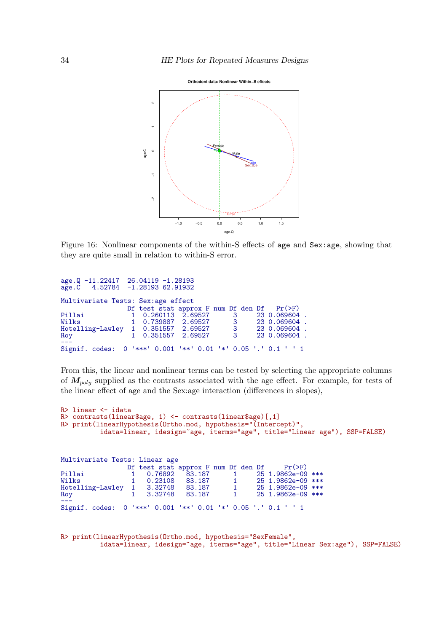<span id="page-33-0"></span>

Figure 16: Nonlinear components of the within-S effects of age and Sex:age, showing that they are quite small in relation to within-S error.

```
age.Q -11.22417 26.04119 -1.28193<br>age.C 4.52784 -1.28193 62.91932
age.C 4.52784 -1.28193 62.91932
Multivariate Tests: Sex:age effect
                      Df test stat approx F num Df den Df Pr(>F)<br>1 0.260113 2.69527 3 23 0.069604<br>1 0.739887 2.69527 3 23 0.069604
Pillai 1 0.260113 2.69527 3 23 0.069604 .
                       Wilks 1 0.739887 2.69527 3 23 0.069604 .
Hotelling-Lawley 1 0.351557 2.69527 .<br>Roy 1 0.351557 2.69527 .3
                                                                  23 0.069604
0.09 ---<br>---<br>Signif. codes: 0 º***' 0.001 º**' 0.01 º*' 0.05 '.' 0.1 ' ' 1
```
From this, the linear and nonlinear terms can be tested by selecting the appropriate columns of  $M_{noly}$  supplied as the contrasts associated with the age effect. For example, for tests of the linear effect of age and the Sex:age interaction (differences in slopes),

```
R> linear <- idata
R> contrasts(linear$age, 1) <- contrasts(linear$age)[,1]
R> print(linearHypothesis(Ortho.mod, hypothesis="(Intercept)",
          idata=linear, idesign=~age, iterms="age", title="Linear age"), SSP=FALSE)
Multivariate Tests: Linear age
```

| multivaliate lests. Linear age                                |                    |        |          |                                                 |
|---------------------------------------------------------------|--------------------|--------|----------|-------------------------------------------------|
|                                                               |                    |        |          | Df test stat approx F num Df den Df $Pr(\ge F)$ |
| Pillai                                                        | 1  0.76892  83.187 |        | $\sim$ 1 | 25 1.9862e-09 ***                               |
| Wilks                                                         | 0.23108 83.187     |        | $\sim$ 1 | 25 1.9862e-09 ***                               |
| Hotelling-Lawley 1 3.32748 83.187                             |                    |        | $\sim$ 1 | 25 1.9862e-09 ***                               |
| Roy                                                           | 1 3.32748          | 83.187 | $\sim$ 1 | 25 1.9862e-09 ***                               |
| Signif. codes: 0 '***' 0.001 '**' 0.01 '*' 0.05 '.' 0.1 ' ' 1 |                    |        |          |                                                 |

```
R> print(linearHypothesis(Ortho.mod, hypothesis="SexFemale",
          idata=linear, idesign=~age, iterms="age", title="Linear Sex:age"), SSP=FALSE)
```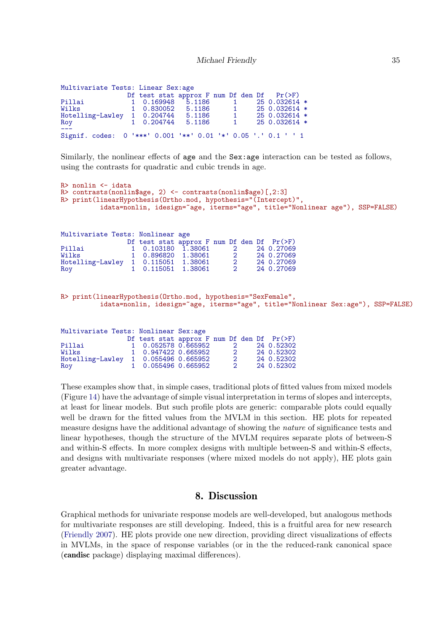#### Michael Friendly 35

| Multivariate Tests: Linear Sex:age |                                                               |                                 |
|------------------------------------|---------------------------------------------------------------|---------------------------------|
|                                    | Df test stat approx $F$ num Df den Df $Pr(\geq F)$            |                                 |
| Pillai                             | 1 0.169948 5.1186                                             | $250.032614$ *<br>$\sim$ 1      |
| Wilks                              | 1 0.830052 5.1186                                             | 25 0.032614 *<br>$\sim$ 1       |
|                                    | Hotelling-Lawley 1 0.204744 5.1186                            | $250.032614$ *<br>$\sim$ 1      |
| Roy                                | 1 0.204744 5.1186                                             | 25 0.032614 *<br>$\overline{1}$ |
|                                    | Signif. codes: 0 '***' 0.001 '**' 0.01 '*' 0.05 '.' 0.1 ' ' 1 |                                 |

Similarly, the nonlinear effects of age and the Sex: age interaction can be tested as follows, using the contrasts for quadratic and cubic trends in age.

```
R> nonlin <- idata
R> contrasts(nonlin$age, 2) <- contrasts(nonlin$age)[,2:3]
R> print(linearHypothesis(Ortho.mod, hypothesis="(Intercept)",
           idata=nonlin, idesign=~age, iterms="age", title="Nonlinear age"), SSP=FALSE)
Multivariate Tests: Nonlinear age
                  Df test stat approx F num Df den Df Pr(>F)<br>1 0.103180 1.38061 2 24 0.27069
Pillai 1 0.103180 1.38061 2 24 0.27069
                   Wilks 1 0.896820 1.38061 2 24 0.27069
Hotelling-Lawley 1 0.115051 1.38061 2<br>Roy 1 0.115051 1.38061 2
                                                      24 0.27069
R> print(linearHypothesis(Ortho.mod, hypothesis="SexFemale",
           idata=nonlin, idesign="age, iterms="age", title="Nonlinear Sex:age"), SSP=FALSE)
Multivariate Tests: Nonlinear Sex:age
                  Df test stat approx F num Df den Df Pr(>F)<br>1 0.052578 0.665952 2 24 0.52302
Pillai 1 0.052578 0.665952 2 24 0.52302
                   1 0.947422 0.665952 2 24 0.52302<br>1 0.055496 0.665952 2 24 0.52302
Hotelling-Lawley 1 0.055496 0.665952 2 24 0.52302
                      0.055496 0.665952
```
These examples show that, in simple cases, traditional plots of fitted values from mixed models (Figure [14\)](#page-30-0) have the advantage of simple visual interpretation in terms of slopes and intercepts, at least for linear models. But such profile plots are generic: comparable plots could equally well be drawn for the fitted values from the MVLM in this section. HE plots for repeated measure designs have the additional advantage of showing the *nature* of significance tests and linear hypotheses, though the structure of the MVLM requires separate plots of between-S and within-S effects. In more complex designs with multiple between-S and within-S effects, and designs with multivariate responses (where mixed models do not apply), HE plots gain greater advantage.

## 8. Discussion

Graphical methods for univariate response models are well-developed, but analogous methods for multivariate responses are still developing. Indeed, this is a fruitful area for new research [\(Friendly 2007\)](#page-35-0). HE plots provide one new direction, providing direct visualizations of effects in MVLMs, in the space of response variables (or in the the reduced-rank canonical space (candisc package) displaying maximal differences).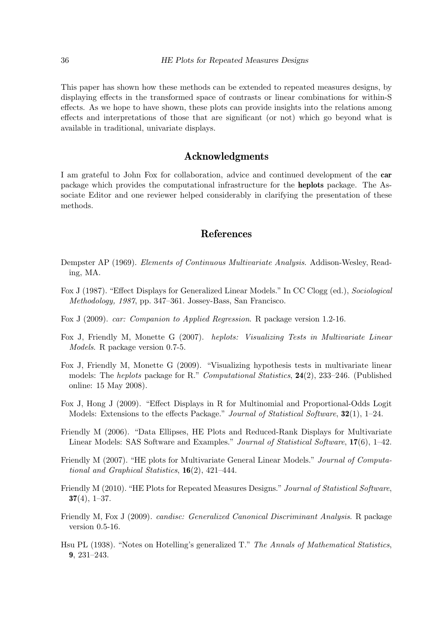This paper has shown how these methods can be extended to repeated measures designs, by displaying effects in the transformed space of contrasts or linear combinations for within-S effects. As we hope to have shown, these plots can provide insights into the relations among effects and interpretations of those that are significant (or not) which go beyond what is available in traditional, univariate displays.

## Acknowledgments

I am grateful to John Fox for collaboration, advice and continued development of the car package which provides the computational infrastructure for the heplots package. The Associate Editor and one reviewer helped considerably in clarifying the presentation of these methods.

## References

- <span id="page-35-4"></span>Dempster AP (1969). Elements of Continuous Multivariate Analysis. Addison-Wesley, Reading, MA.
- <span id="page-35-9"></span>Fox J (1987). "Effect Displays for Generalized Linear Models." In CC Clogg (ed.), Sociological Methodology, 1987, pp. 347–361. Jossey-Bass, San Francisco.
- <span id="page-35-5"></span>Fox J (2009). car: Companion to Applied Regression. R package version 1.2-16.
- <span id="page-35-1"></span>Fox J, Friendly M, Monette G (2007). heplots: Visualizing Tests in Multivariate Linear Models. R package version 0.7-5.
- <span id="page-35-7"></span>Fox J, Friendly M, Monette G (2009). "Visualizing hypothesis tests in multivariate linear models: The heplots package for R." Computational Statistics, 24(2), 233–246. (Published online: 15 May 2008).
- <span id="page-35-10"></span>Fox J, Hong J (2009). "Effect Displays in R for Multinomial and Proportional-Odds Logit Models: Extensions to the effects Package." Journal of Statistical Software, 32(1), 1–24.
- <span id="page-35-2"></span>Friendly M (2006). "Data Ellipses, HE Plots and Reduced-Rank Displays for Multivariate Linear Models: SAS Software and Examples." Journal of Statistical Software, 17(6), 1–42.
- <span id="page-35-0"></span>Friendly M (2007). "HE plots for Multivariate General Linear Models." Journal of Computational and Graphical Statistics,  $16(2)$ ,  $421-444$ .
- <span id="page-35-3"></span>Friendly M (2010). "HE Plots for Repeated Measures Designs." Journal of Statistical Software,  $37(4)$ , 1–37.
- <span id="page-35-6"></span>Friendly M, Fox J (2009). candisc: Generalized Canonical Discriminant Analysis. R package version 0.5-16.
- <span id="page-35-8"></span>Hsu PL (1938). "Notes on Hotelling's generalized T." The Annals of Mathematical Statistics, 9, 231–243.